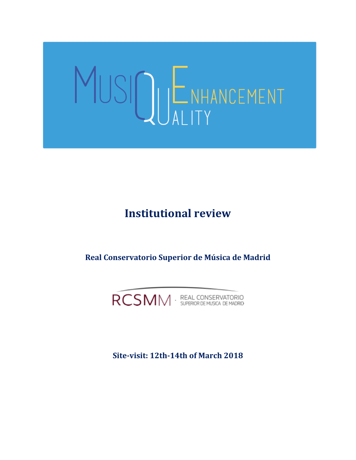# MUSIQUENHANCEMENT

# **Institutional review**

**Real Conservatorio Superior de Música de Madrid**



**Site-visit: 12th-14th of March 2018**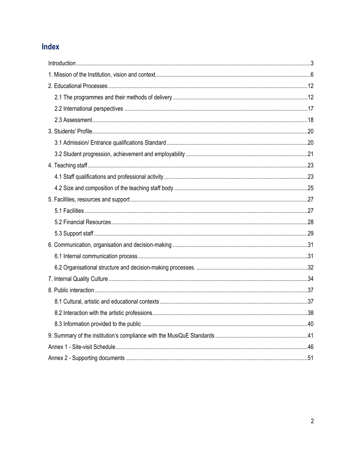# Index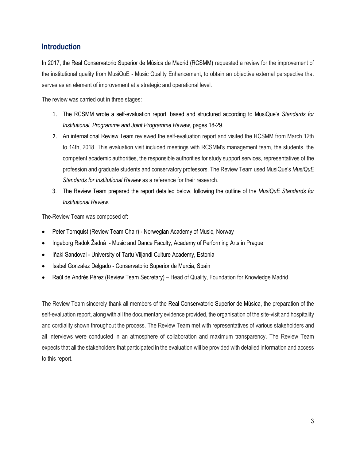## <span id="page-2-0"></span>**Introduction**

In 2017, the Real Conservatorio Superior de Música de Madrid (RCSMM) requested a review for the improvement of the institutional quality from MusiQuE - Music Quality Enhancement, to obtain an objective external perspective that serves as an element of improvement at a strategic and operational level.

The review was carried out in three stages:

- 1. The RCSMM wrote a self-evaluation report, based and structured according to MusiQue's *Standards for Institutional, Programme and Joint Programme Review*, pages 18-29.
- 2. An international Review Team reviewed the self-evaluation report and visited the RCSMM from March 12th to 14th, 2018. This evaluation visit included meetings with RCSMM's management team, the students, the competent academic authorities, the responsible authorities for study support services, representatives of the profession and graduate students and conservatory professors. The Review Team used MusiQue's *MusiQuE Standards for Institutional Review* as a reference for their research.
- 3. The Review Team prepared the report detailed below, following the outline of the *MusiQuE Standards for Institutional Review*.

The Review Team was composed of:

- Peter Tornquist (Review Team Chair) Norwegian Academy of Music, Norway
- Ingeborg Radok Žádná Music and Dance Faculty, Academy of Performing Arts in Prague
- Iñaki Sandoval University of Tartu Viljandi Culture Academy, Estonia
- Isabel Gonzalez Delgado Conservatorio Superior de Murcia, Spain
- Raúl de Andrés Pérez (Review Team Secretary) Head of Quality, Foundation for Knowledge Madrid

The Review Team sincerely thank all members of the Real Conservatorio Superior de Música, the preparation of the self-evaluation report, along with all the documentary evidence provided, the organisation of the site-visit and hospitality and cordiality shown throughout the process. The Review Team met with representatives of various stakeholders and all interviews were conducted in an atmosphere of collaboration and maximum transparency. The Review Team expects that all the stakeholders that participated in the evaluation will be provided with detailed information and access to this report.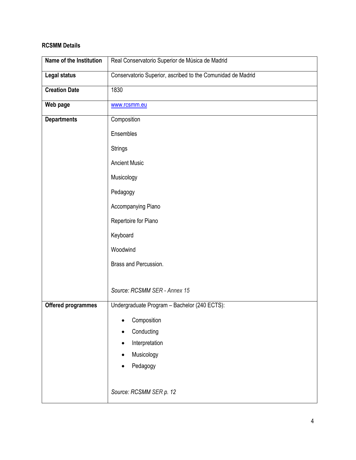## **RCSMM Details**

| Real Conservatorio Superior de Música de Madrid             |  |
|-------------------------------------------------------------|--|
| Conservatorio Superior, ascribed to the Comunidad de Madrid |  |
| 1830                                                        |  |
| www.rcsmm.eu                                                |  |
| Composition                                                 |  |
| Ensembles                                                   |  |
| <b>Strings</b>                                              |  |
| <b>Ancient Music</b>                                        |  |
| Musicology                                                  |  |
| Pedagogy                                                    |  |
| Accompanying Piano                                          |  |
| Repertoire for Piano                                        |  |
| Keyboard                                                    |  |
| Woodwind                                                    |  |
| Brass and Percussion.                                       |  |
|                                                             |  |
| Source: RCSMM SER - Annex 15                                |  |
| Undergraduate Program - Bachelor (240 ECTS):                |  |
| Composition                                                 |  |
| Conducting                                                  |  |
| Interpretation                                              |  |
| Musicology                                                  |  |
| Pedagogy                                                    |  |
| Source: RCSMM SER p. 12                                     |  |
|                                                             |  |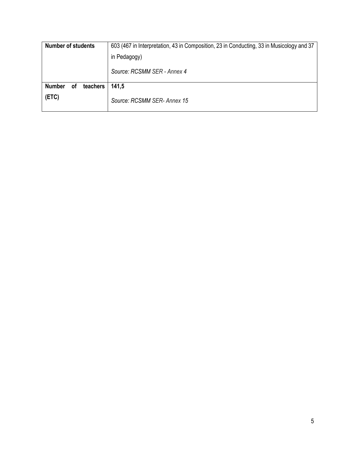| <b>Number of students</b><br>603 (467 in Interpretation, 43 in Composition, 23 in Conducting, 33 in Musicology and 37 |                             |
|-----------------------------------------------------------------------------------------------------------------------|-----------------------------|
|                                                                                                                       | in Pedagogy)                |
|                                                                                                                       | Source: RCSMM SER - Annex 4 |
| <b>Number</b><br><b>of</b><br>teachers                                                                                | 141,5                       |
| (ETC)                                                                                                                 | Source: RCSMM SER- Annex 15 |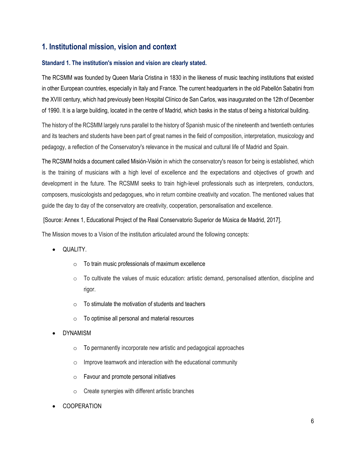## <span id="page-5-0"></span>**1. Institutional mission, vision and context**

#### **Standard 1. The institution's mission and vision are clearly stated.**

The RCSMM was founded by Queen María Cristina in 1830 in the likeness of music teaching institutions that existed in other European countries, especially in Italy and France. The current headquarters in the old Pabellón Sabatini from the XVIII century, which had previously been Hospital Clínico de San Carlos, was inaugurated on the 12th of December of 1990. It is a large building, located in the centre of Madrid, which basks in the status of being a historical building.

The history of the RCSMM largely runs parallel to the history of Spanish music of the nineteenth and twentieth centuries and its teachers and students have been part of great names in the field of composition, interpretation, musicology and pedagogy, a reflection of the Conservatory's relevance in the musical and cultural life of Madrid and Spain.

The RCSMM holds a document called Misión-Visión in which the conservatory's reason for being is established, which is the training of musicians with a high level of excellence and the expectations and objectives of growth and development in the future. The RCSMM seeks to train high-level professionals such as interpreters, conductors, composers, musicologists and pedagogues, who in return combine creativity and vocation. The mentioned values that guide the day to day of the conservatory are creativity, cooperation, personalisation and excellence.

[Source: Annex 1, Educational Project of the Real Conservatorio Superior de Música de Madrid, 2017].

The Mission moves to a Vision of the institution articulated around the following concepts:

- QUALITY.
	- $\circ$  To train music professionals of maximum excellence
	- $\circ$  To cultivate the values of music education: artistic demand, personalised attention, discipline and rigor.
	- $\circ$  To stimulate the motivation of students and teachers
	- o To optimise all personal and material resources
- **DYNAMISM** 
	- o To permanently incorporate new artistic and pedagogical approaches
	- $\circ$  Improve teamwork and interaction with the educational community
	- o Favour and promote personal initiatives
	- o Create synergies with different artistic branches
- **COOPERATION**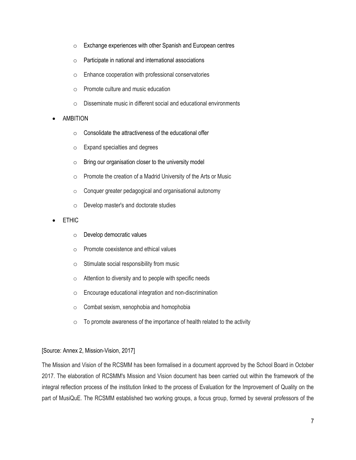- o Exchange experiences with other Spanish and European centres
- o Participate in national and international associations
- o Enhance cooperation with professional conservatories
- o Promote culture and music education
- o Disseminate music in different social and educational environments
- AMBITION
	- $\circ$  Consolidate the attractiveness of the educational offer
	- o Expand specialties and degrees
	- $\circ$  Bring our organisation closer to the university model
	- o Promote the creation of a Madrid University of the Arts or Music
	- o Conquer greater pedagogical and organisational autonomy
	- o Develop master's and doctorate studies
- **ETHIC** 
	- o Develop democratic values
	- o Promote coexistence and ethical values
	- o Stimulate social responsibility from music
	- o Attention to diversity and to people with specific needs
	- o Encourage educational integration and non-discrimination
	- o Combat sexism, xenophobia and homophobia
	- $\circ$  To promote awareness of the importance of health related to the activity

#### [Source: Annex 2, Mission-Vision, 2017]

The Mission and Vision of the RCSMM has been formalised in a document approved by the School Board in October 2017. The elaboration of RCSMM's Mission and Vision document has been carried out within the framework of the integral reflection process of the institution linked to the process of Evaluation for the Improvement of Quality on the part of MusiQuE. The RCSMM established two working groups, a focus group, formed by several professors of the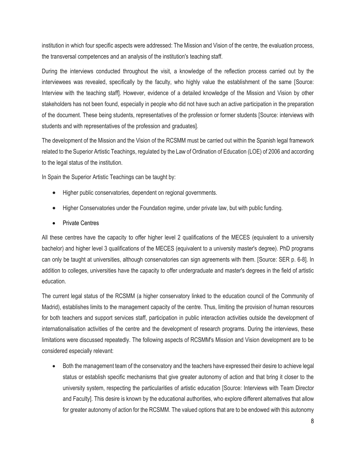institution in which four specific aspects were addressed: The Mission and Vision of the centre, the evaluation process, the transversal competences and an analysis of the institution's teaching staff.

During the interviews conducted throughout the visit, a knowledge of the reflection process carried out by the interviewees was revealed, specifically by the faculty, who highly value the establishment of the same [Source: Interview with the teaching staff]. However, evidence of a detailed knowledge of the Mission and Vision by other stakeholders has not been found, especially in people who did not have such an active participation in the preparation of the document. These being students, representatives of the profession or former students [Source: interviews with students and with representatives of the profession and graduates].

The development of the Mission and the Vision of the RCSMM must be carried out within the Spanish legal framework related to the Superior Artistic Teachings, regulated by the Law of Ordination of Education (LOE) of 2006 and according to the legal status of the institution.

In Spain the Superior Artistic Teachings can be taught by:

- Higher public conservatories, dependent on regional governments.
- Higher Conservatories under the Foundation regime, under private law, but with public funding.
- Private Centres

All these centres have the capacity to offer higher level 2 qualifications of the MECES (equivalent to a university bachelor) and higher level 3 qualifications of the MECES (equivalent to a university master's degree). PhD programs can only be taught at universities, although conservatories can sign agreements with them. [Source: SER p. 6-8]. In addition to colleges, universities have the capacity to offer undergraduate and master's degrees in the field of artistic education.

The current legal status of the RCSMM (a higher conservatory linked to the education council of the Community of Madrid), establishes limits to the management capacity of the centre. Thus, limiting the provision of human resources for both teachers and support services staff, participation in public interaction activities outside the development of internationalisation activities of the centre and the development of research programs. During the interviews, these limitations were discussed repeatedly. The following aspects of RCSMM's Mission and Vision development are to be considered especially relevant:

• Both the management team of the conservatory and the teachers have expressed their desire to achieve legal status or establish specific mechanisms that give greater autonomy of action and that bring it closer to the university system, respecting the particularities of artistic education [Source: Interviews with Team Director and Faculty]. This desire is known by the educational authorities, who explore different alternatives that allow for greater autonomy of action for the RCSMM. The valued options that are to be endowed with this autonomy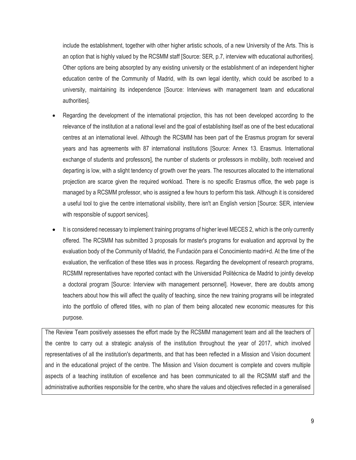include the establishment, together with other higher artistic schools, of a new University of the Arts. This is an option that is highly valued by the RCSMM staff [Source: SER, p.7, interview with educational authorities]. Other options are being absorpted by any existing university or the establishment of an independent higher education centre of the Community of Madrid, with its own legal identity, which could be ascribed to a university, maintaining its independence [Source: Interviews with management team and educational authorities].

- Regarding the development of the international projection, this has not been developed according to the relevance of the institution at a national level and the goal of establishing itself as one of the best educational centres at an international level. Although the RCSMM has been part of the Erasmus program for several years and has agreements with 87 international institutions [Source: Annex 13. Erasmus. International exchange of students and professors], the number of students or professors in mobility, both received and departing is low, with a slight tendency of growth over the years. The resources allocated to the international projection are scarce given the required workload. There is no specific Erasmus office, the web page is managed by a RCSMM professor, who is assigned a few hours to perform this task. Although it is considered a useful tool to give the centre international visibility, there isn't an English version [Source: SER, interview with responsible of support services].
- It is considered necessary to implement training programs of higher level MECES 2, which is the only currently offered. The RCSMM has submitted 3 proposals for master's programs for evaluation and approval by the evaluation body of the Community of Madrid, the Fundación para el Conocimiento madri+d. At the time of the evaluation, the verification of these titles was in process. Regarding the development of research programs, RCSMM representatives have reported contact with the Universidad Politécnica de Madrid to jointly develop a doctoral program [Source: Interview with management personnel]. However, there are doubts among teachers about how this will affect the quality of teaching, since the new training programs will be integrated into the portfolio of offered titles, with no plan of them being allocated new economic measures for this purpose.

The Review Team positively assesses the effort made by the RCSMM management team and all the teachers of the centre to carry out a strategic analysis of the institution throughout the year of 2017, which involved representatives of all the institution's departments, and that has been reflected in a Mission and Vision document and in the educational project of the centre. The Mission and Vision document is complete and covers multiple aspects of a teaching institution of excellence and has been communicated to all the RCSMM staff and the administrative authorities responsible for the centre, who share the values and objectives reflected in a generalised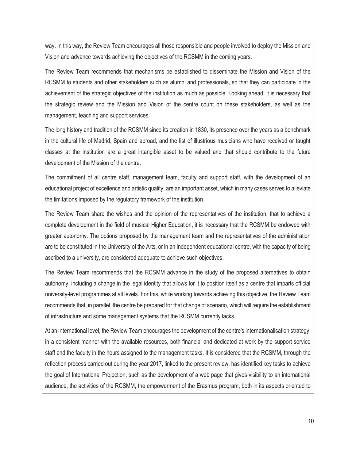way. In this way, the Review Team encourages all those responsible and people involved to deploy the Mission and Vision and advance towards achieving the objectives of the RCSMM in the coming years.

The Review Team recommends that mechanisms be established to disseminate the Mission and Vision of the RCSMM to students and other stakeholders such as alumni and professionals, so that they can participate in the achievement of the strategic objectives of the institution as much as possible. Looking ahead, it is necessary that the strategic review and the Mission and Vision of the centre count on these stakeholders, as well as the management, teaching and support services.

The long history and tradition of the RCSMM since its creation in 1830, its presence over the years as a benchmark in the cultural life of Madrid, Spain and abroad, and the list of illustrious musicians who have received or taught classes at the institution are a great intangible asset to be valued and that should contribute to the future development of the Mission of the centre.

The commitment of all centre staff, management team, faculty and support staff, with the development of an educational project of excellence and artistic quality, are an important asset, which in many cases serves to alleviate the limitations imposed by the regulatory framework of the institution.

The Review Team share the wishes and the opinion of the representatives of the institution, that to achieve a complete development in the field of musical Higher Education, it is necessary that the RCSMM be endowed with greater autonomy. The options proposed by the management team and the representatives of the administration are to be constituted in the University of the Arts, or in an independent educational centre, with the capacity of being ascribed to a university, are considered adequate to achieve such objectives.

The Review Team recommends that the RCSMM advance in the study of the proposed alternatives to obtain autonomy, including a change in the legal identity that allows for it to position itself as a centre that imparts official university-level programmes at all levels. For this, while working towards achieving this objective, the Review Team recommends that, in parallel, the centre be prepared for that change of scenario, which will require the establishment of infrastructure and some management systems that the RCSMM currently lacks.

At an international level, the Review Team encourages the development of the centre's internationalisation strategy, in a consistent manner with the available resources, both financial and dedicated at work by the support service staff and the faculty in the hours assigned to the management tasks. It is considered that the RCSMM, through the reflection process carried out during the year 2017, linked to the present review, has identified key tasks to achieve the goal of International Projection, such as the development of a web page that gives visibility to an international audience, the activities of the RCSMM, the empowerment of the Erasmus program, both in its aspects oriented to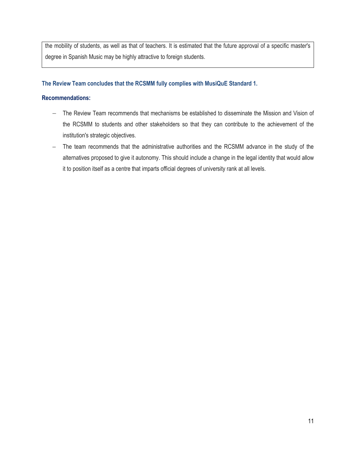the mobility of students, as well as that of teachers. It is estimated that the future approval of a specific master's degree in Spanish Music may be highly attractive to foreign students.

#### **The Review Team concludes that the RCSMM fully complies with MusiQuE Standard 1.**

#### **Recommendations:**

- − The Review Team recommends that mechanisms be established to disseminate the Mission and Vision of the RCSMM to students and other stakeholders so that they can contribute to the achievement of the institution's strategic objectives.
- The team recommends that the administrative authorities and the RCSMM advance in the study of the alternatives proposed to give it autonomy. This should include a change in the legal identity that would allow it to position itself as a centre that imparts official degrees of university rank at all levels.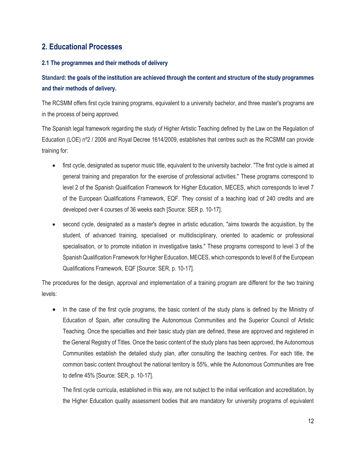## <span id="page-11-0"></span>**2. Educational Processes**

#### <span id="page-11-1"></span>**2.1 The programmes and their methods of delivery**

## **Standard: the goals of the institution are achieved through the content and structure of the study programmes and their methods of delivery.**

The RCSMM offers first cycle training programs, equivalent to a university bachelor, and three master's programs are in the process of being approved.

The Spanish legal framework regarding the study of Higher Artistic Teaching defined by the Law on the Regulation of Education (LOE) nº2 / 2006 and Royal Decree 1614/2009, establishes that centres such as the RCSMM can provide training for:

- first cycle, designated as superior music title, equivalent to the university bachelor. "The first cycle is aimed at general training and preparation for the exercise of professional activities." These programs correspond to level 2 of the Spanish Qualification Framework for Higher Education, MECES, which corresponds to level 7 of the European Qualifications Framework, EQF. They consist of a teaching load of 240 credits and are developed over 4 courses of 36 weeks each [Source: SER p. 10-17].
- second cycle, designated as a master's degree in artistic education, "aims towards the acquisition, by the student, of advanced training, specialised or multidisciplinary, oriented to academic or professional specialisation, or to promote initiation in investigative tasks." These programs correspond to level 3 of the Spanish Qualification Framework for Higher Education, MECES, which corresponds to level 8 of the European Qualifications Framework, EQF [Source: SER, p. 10-17].

The procedures for the design, approval and implementation of a training program are different for the two training levels:

• In the case of the first cycle programs, the basic content of the study plans is defined by the Ministry of Education of Spain, after consulting the Autonomous Communities and the Superior Council of Artistic Teaching. Once the specialties and their basic study plan are defined, these are approved and registered in the General Registry of Titles. Once the basic content of the study plans has been approved, the Autonomous Communities establish the detailed study plan, after consulting the teaching centres. For each title, the common basic content throughout the national territory is 55%, while the Autonomous Communities are free to define 45% [Source: SER, p. 10-17].

The first cycle curricula, established in this way, are not subject to the initial verification and accreditation, by the Higher Education quality assessment bodies that are mandatory for university programs of equivalent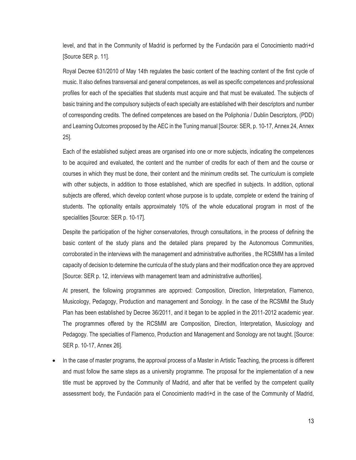level, and that in the Community of Madrid is performed by the Fundación para el Conocimiento madri+d [Source SER p. 11].

Royal Decree 631/2010 of May 14th regulates the basic content of the teaching content of the first cycle of music. It also defines transversal and general competences, as well as specific competences and professional profiles for each of the specialties that students must acquire and that must be evaluated. The subjects of basic training and the compulsory subjects of each specialty are established with their descriptors and number of corresponding credits. The defined competences are based on the Poliphonia / Dublin Descriptors, (PDD) and Learning Outcomes proposed by the AEC in the Tuning manual [Source: SER, p. 10-17, Annex 24, Annex 25].

Each of the established subject areas are organised into one or more subjects, indicating the competences to be acquired and evaluated, the content and the number of credits for each of them and the course or courses in which they must be done, their content and the minimum credits set. The curriculum is complete with other subjects, in addition to those established, which are specified in subjects. In addition, optional subjects are offered, which develop content whose purpose is to update, complete or extend the training of students. The optionality entails approximately 10% of the whole educational program in most of the specialities [Source: SER p. 10-17].

Despite the participation of the higher conservatories, through consultations, in the process of defining the basic content of the study plans and the detailed plans prepared by the Autonomous Communities, corroborated in the interviews with the management and administrative authorities , the RCSMM has a limited capacity of decision to determine the curricula of the study plans and their modification once they are approved [Source: SER p. 12, interviews with management team and administrative authorities].

At present, the following programmes are approved: Composition, Direction, Interpretation, Flamenco, Musicology, Pedagogy, Production and management and Sonology. In the case of the RCSMM the Study Plan has been established by Decree 36/2011, and it began to be applied in the 2011-2012 academic year. The programmes offered by the RCSMM are Composition, Direction, Interpretation, Musicology and Pedagogy. The specialties of Flamenco, Production and Management and Sonology are not taught. [Source: SER p. 10-17, Annex 26].

• In the case of master programs, the approval process of a Master in Artistic Teaching, the process is different and must follow the same steps as a university programme. The proposal for the implementation of a new title must be approved by the Community of Madrid, and after that be verified by the competent quality assessment body, the Fundación para el Conocimiento madri+d in the case of the Community of Madrid,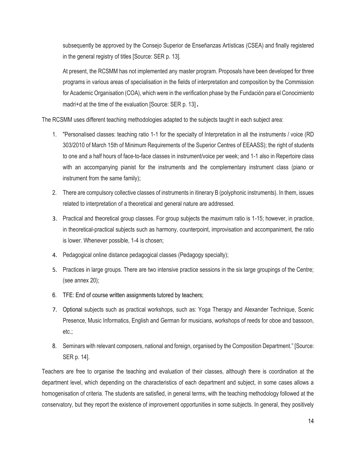subsequently be approved by the Consejo Superior de Enseñanzas Artísticas (CSEA) and finally registered in the general registry of titles [Source: SER p. 13].

At present, the RCSMM has not implemented any master program. Proposals have been developed for three programs in various areas of specialisation in the fields of interpretation and composition by the Commission for Academic Organisation (COA), which were in the verification phase by the Fundación para el Conocimiento madri+d at the time of the evaluation [Source: SER p. 13].

The RCSMM uses different teaching methodologies adapted to the subjects taught in each subject area:

- 1. "Personalised classes: teaching ratio 1-1 for the specialty of Interpretation in all the instruments / voice (RD 303/2010 of March 15th of Minimum Requirements of the Superior Centres of EEAASS); the right of students to one and a half hours of face-to-face classes in instrument/voice per week; and 1-1 also in Repertoire class with an accompanying pianist for the instruments and the complementary instrument class (piano or instrument from the same family);
- 2. There are compulsory collective classes of instruments in itinerary B (polyphonic instruments). In them, issues related to interpretation of a theoretical and general nature are addressed.
- 3. Practical and theoretical group classes. For group subjects the maximum ratio is 1-15; however, in practice, in theoretical-practical subjects such as harmony, counterpoint, improvisation and accompaniment, the ratio is lower. Whenever possible, 1-4 is chosen;
- 4. Pedagogical online distance pedagogical classes (Pedagogy specialty);
- 5. Practices in large groups. There are two intensive practice sessions in the six large groupings of the Centre; (see annex 20);
- 6. TFE: End of course written assignments tutored by teachers;
- 7. Optional subjects such as practical workshops, such as: Yoga Therapy and Alexander Technique, Scenic Presence, Music Informatics, English and German for musicians, workshops of reeds for oboe and bassoon, etc.;
- 8. Seminars with relevant composers, national and foreign, organised by the Composition Department." [Source: SER p. 14].

Teachers are free to organise the teaching and evaluation of their classes, although there is coordination at the department level, which depending on the characteristics of each department and subject, in some cases allows a homogenisation of criteria. The students are satisfied, in general terms, with the teaching methodology followed at the conservatory, but they report the existence of improvement opportunities in some subjects. In general, they positively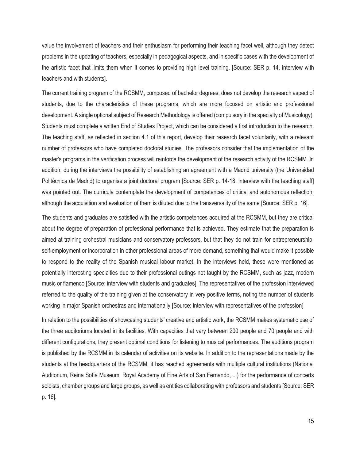value the involvement of teachers and their enthusiasm for performing their teaching facet well, although they detect problems in the updating of teachers, especially in pedagogical aspects, and in specific cases with the development of the artistic facet that limits them when it comes to providing high level training. [Source: SER p. 14, interview with teachers and with students].

The current training program of the RCSMM, composed of bachelor degrees, does not develop the research aspect of students, due to the characteristics of these programs, which are more focused on artistic and professional development. A single optional subject of Research Methodology is offered (compulsory in the specialty of Musicology). Students must complete a written End of Studies Project, which can be considered a first introduction to the research. The teaching staff, as reflected in section 4.1 of this report, develop their research facet voluntarily, with a relevant number of professors who have completed doctoral studies. The professors consider that the implementation of the master's programs in the verification process will reinforce the development of the research activity of the RCSMM. In addition, during the interviews the possibility of establishing an agreement with a Madrid university (the Universidad Politécnica de Madrid) to organise a joint doctoral program [Source: SER p. 14-18, interview with the teaching staff] was pointed out. The curricula contemplate the development of competences of critical and autonomous reflection, although the acquisition and evaluation of them is diluted due to the transversality of the same [Source: SER p. 16].

The students and graduates are satisfied with the artistic competences acquired at the RCSMM, but they are critical about the degree of preparation of professional performance that is achieved. They estimate that the preparation is aimed at training orchestral musicians and conservatory professors, but that they do not train for entrepreneurship, self-employment or incorporation in other professional areas of more demand, something that would make it possible to respond to the reality of the Spanish musical labour market. In the interviews held, these were mentioned as potentially interesting specialties due to their professional outings not taught by the RCSMM, such as jazz, modern music or flamenco [Source: interview with students and graduates]. The representatives of the profession interviewed referred to the quality of the training given at the conservatory in very positive terms, noting the number of students working in major Spanish orchestras and internationally [Source: interview with representatives of the profession]

In relation to the possibilities of showcasing students' creative and artistic work, the RCSMM makes systematic use of the three auditoriums located in its facilities. With capacities that vary between 200 people and 70 people and with different configurations, they present optimal conditions for listening to musical performances. The auditions program is published by the RCSMM in its calendar of activities on its website. In addition to the representations made by the students at the headquarters of the RCSMM, it has reached agreements with multiple cultural institutions (National Auditorium, Reina Sofía Museum, Royal Academy of Fine Arts of San Fernando, ...) for the performance of concerts soloists, chamber groups and large groups, as well as entities collaborating with professors and students [Source: SER p. 16].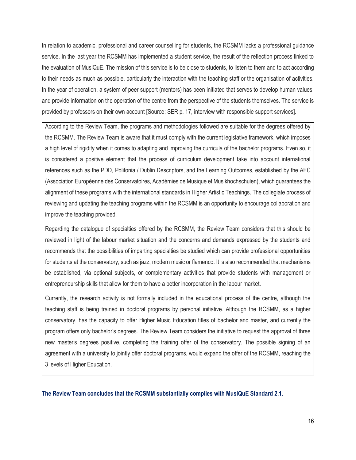In relation to academic, professional and career counselling for students, the RCSMM lacks a professional guidance service. In the last year the RCSMM has implemented a student service, the result of the reflection process linked to the evaluation of MusiQuE. The mission of this service is to be close to students, to listen to them and to act according to their needs as much as possible, particularly the interaction with the teaching staff or the organisation of activities. In the year of operation, a system of peer support (mentors) has been initiated that serves to develop human values and provide information on the operation of the centre from the perspective of the students themselves. The service is provided by professors on their own account [Source: SER p. 17, interview with responsible support services].

According to the Review Team, the programs and methodologies followed are suitable for the degrees offered by the RCSMM. The Review Team is aware that it must comply with the current legislative framework, which imposes a high level of rigidity when it comes to adapting and improving the curricula of the bachelor programs. Even so, it is considered a positive element that the process of curriculum development take into account international references such as the PDD, Polifonia / Dublin Descriptors, and the Learning Outcomes, established by the AEC (Association Européenne des Conservatoires, Académies de Musique et Musikhochschulen), which guarantees the alignment of these programs with the international standards in Higher Artistic Teachings. The collegiate process of reviewing and updating the teaching programs within the RCSMM is an opportunity to encourage collaboration and improve the teaching provided.

Regarding the catalogue of specialties offered by the RCSMM, the Review Team considers that this should be reviewed in light of the labour market situation and the concerns and demands expressed by the students and recommends that the possibilities of imparting specialties be studied which can provide professional opportunities for students at the conservatory, such as jazz, modern music or flamenco. It is also recommended that mechanisms be established, via optional subjects, or complementary activities that provide students with management or entrepreneurship skills that allow for them to have a better incorporation in the labour market.

Currently, the research activity is not formally included in the educational process of the centre, although the teaching staff is being trained in doctoral programs by personal initiative. Although the RCSMM, as a higher conservatory, has the capacity to offer Higher Music Education titles of bachelor and master, and currently the program offers only bachelor's degrees. The Review Team considers the initiative to request the approval of three new master's degrees positive, completing the training offer of the conservatory. The possible signing of an agreement with a university to jointly offer doctoral programs, would expand the offer of the RCSMM, reaching the 3 levels of Higher Education.

**The Review Team concludes that the RCSMM substantially complies with MusiQuE Standard 2.1.**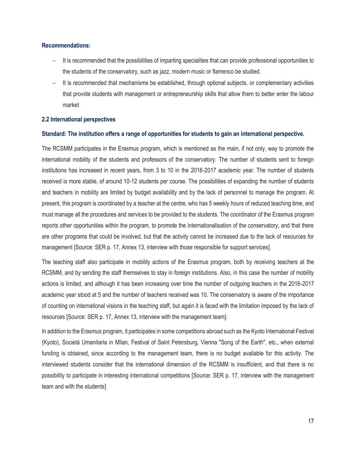#### **Recommendations:**

- It is recommended that the possibilities of imparting specialities that can provide professional opportunities to the students of the conservatory, such as jazz, modern music or flamenco be studied.
- − It is recommended that mechanisms be established, through optional subjects, or complementary activities that provide students with management or entrepreneurship skills that allow them to better enter the labour market

#### <span id="page-16-0"></span>**2.2 International perspectives**

#### **Standard: The institution offers a range of opportunities for students to gain an international perspective.**

The RCSMM participates in the Erasmus program, which is mentioned as the main, if not only, way to promote the international mobility of the students and professors of the conservatory. The number of students sent to foreign institutions has increased in recent years, from 3 to 10 in the 2016-2017 academic year. The number of students received is more stable, of around 10-12 students per course. The possibilities of expanding the number of students and teachers in mobility are limited by budget availability and by the lack of personnel to manage the program. At present, this program is coordinated by a teacher at the centre, who has 5 weekly hours of reduced teaching time, and must manage all the procedures and services to be provided to the students. The coordinator of the Erasmus program reports other opportunities within the program, to promote the internationalisation of the conservatory, and that there are other programs that could be involved, but that the activity cannot be increased due to the lack of resources for management [Source: SER p. 17, Annex 13, interview with those responsible for support services].

The teaching staff also participate in mobility actions of the Erasmus program, both by receiving teachers at the RCSMM, and by sending the staff themselves to stay in foreign institutions. Also, in this case the number of mobility actions is limited, and although it has been increasing over time the number of outgoing teachers in the 2016-2017 academic year stood at 5 and the number of teachers received was 10. The conservatory is aware of the importance of counting on international visions in the teaching staff, but again it is faced with the limitation imposed by the lack of resources [Source: SER p. 17, Annex 13, interview with the management team].

In addition to the Erasmus program, it participates in some competitions abroad such as the Kyoto International Festival (Kyoto), Societá Umanitaria in Milan, Festival of Saint Petersburg, Vienna "Song of the Earth", etc., when external funding is obtained, since according to the management team, there is no budget available for this activity. The interviewed students consider that the international dimension of the RCSMM is insufficient, and that there is no possibility to participate in interesting international competitions [Source: SER p. 17, interview with the management team and with the students]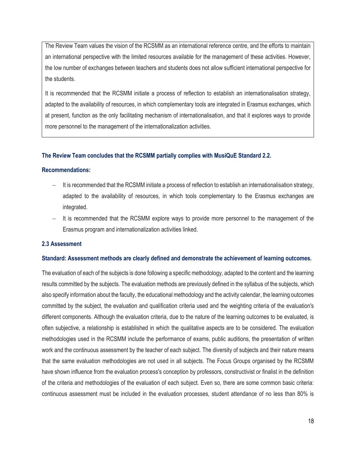The Review Team values the vision of the RCSMM as an international reference centre, and the efforts to maintain an international perspective with the limited resources available for the management of these activities. However, the low number of exchanges between teachers and students does not allow sufficient international perspective for the students.

It is recommended that the RCSMM initiate a process of reflection to establish an internationalisation strategy, adapted to the availability of resources, in which complementary tools are integrated in Erasmus exchanges, which at present, function as the only facilitating mechanism of internationalisation, and that it explores ways to provide more personnel to the management of the internationalization activities.

#### **The Review Team concludes that the RCSMM partially complies with MusiQuE Standard 2.2.**

#### **Recommendations:**

- It is recommended that the RCSMM initiate a process of reflection to establish an internationalisation strategy, adapted to the availability of resources, in which tools complementary to the Erasmus exchanges are integrated.
- It is recommended that the RCSMM explore ways to provide more personnel to the management of the Erasmus program and internationalization activities linked.

#### <span id="page-17-0"></span>**2.3 Assessment**

#### **Standard: Assessment methods are clearly defined and demonstrate the achievement of learning outcomes.**

The evaluation of each of the subjects is done following a specific methodology, adapted to the content and the learning results committed by the subjects. The evaluation methods are previously defined in the syllabus of the subjects, which also specify information about the faculty, the educational methodology and the activity calendar, the learning outcomes committed by the subject, the evaluation and qualification criteria used and the weighting criteria of the evaluation's different components. Although the evaluation criteria, due to the nature of the learning outcomes to be evaluated, is often subjective, a relationship is established in which the qualitative aspects are to be considered. The evaluation methodologies used in the RCSMM include the performance of exams, public auditions, the presentation of written work and the continuous assessment by the teacher of each subject. The diversity of subjects and their nature means that the same evaluation methodologies are not used in all subjects. The Focus Groups organised by the RCSMM have shown influence from the evaluation process's conception by professors, constructivist or finalist in the definition of the criteria and methodologies of the evaluation of each subject. Even so, there are some common basic criteria: continuous assessment must be included in the evaluation processes, student attendance of no less than 80% is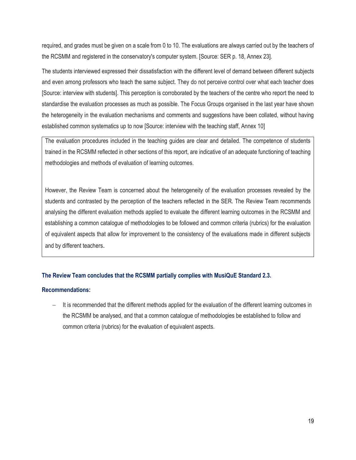required, and grades must be given on a scale from 0 to 10. The evaluations are always carried out by the teachers of the RCSMM and registered in the conservatory's computer system. [Source: SER p. 18, Annex 23].

The students interviewed expressed their dissatisfaction with the different level of demand between different subjects and even among professors who teach the same subject. They do not perceive control over what each teacher does [Source: interview with students]. This perception is corroborated by the teachers of the centre who report the need to standardise the evaluation processes as much as possible. The Focus Groups organised in the last year have shown the heterogeneity in the evaluation mechanisms and comments and suggestions have been collated, without having established common systematics up to now [Source: interview with the teaching staff, Annex 10]

The evaluation procedures included in the teaching guides are clear and detailed. The competence of students trained in the RCSMM reflected in other sections of this report, are indicative of an adequate functioning of teaching methodologies and methods of evaluation of learning outcomes.

However, the Review Team is concerned about the heterogeneity of the evaluation processes revealed by the students and contrasted by the perception of the teachers reflected in the SER. The Review Team recommends analysing the different evaluation methods applied to evaluate the different learning outcomes in the RCSMM and establishing a common catalogue of methodologies to be followed and common criteria (rubrics) for the evaluation of equivalent aspects that allow for improvement to the consistency of the evaluations made in different subjects and by different teachers.

#### **The Review Team concludes that the RCSMM partially complies with MusiQuE Standard 2.3.**

#### **Recommendations:**

It is recommended that the different methods applied for the evaluation of the different learning outcomes in the RCSMM be analysed, and that a common catalogue of methodologies be established to follow and common criteria (rubrics) for the evaluation of equivalent aspects.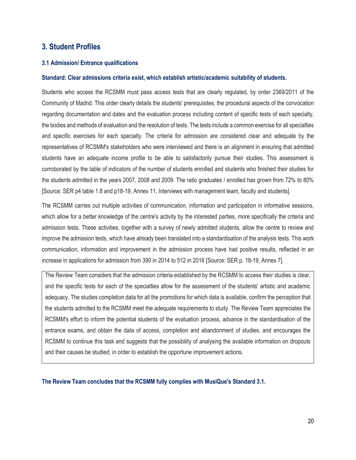## <span id="page-19-0"></span>**3. Student Profiles**

#### <span id="page-19-1"></span>**3.1 Admission/ Entrance qualifications**

#### **Standard: Clear admissions criteria exist, which establish artistic/academic suitability of students.**

Students who access the RCSMM must pass access tests that are clearly regulated, by order 2369/2011 of the Community of Madrid. This order clearly details the students' prerequisites, the procedural aspects of the convocation regarding documentation and dates and the evaluation process including content of specific tests of each specialty, the bodies and methods of evaluation and the resolution of tests. The tests include a common exercise for all specialties and specific exercises for each specialty. The criteria for admission are considered clear and adequate by the representatives of RCSMM's stakeholders who were interviewed and there is an alignment in ensuring that admitted students have an adequate income profile to be able to satisfactorily pursue their studies. This assessment is corroborated by the table of indicators of the number of students enrolled and students who finished their studies for the students admitted in the years 2007, 2008 and 2009. The ratio graduates / enrolled has grown from 72% to 80% [Source: SER p4 table 1.8 and p18-19, Annex 11, Interviews with management team, faculty and students].

The RCSMM carries out multiple activities of communication, information and participation in informative sessions, which allow for a better knowledge of the centre's activity by the interested parties, more specifically the criteria and admission tests. These activities, together with a survey of newly admitted students, allow the centre to review and improve the admission tests, which have already been translated into a standardisation of the analysis tests. This work communication, information and improvement in the admission process have had positive results, reflected in an increase in applications for admission from 390 in 2014 to 512 in 2016 [Source: SER p. 18-19, Annex 7].

The Review Team considers that the admission criteria established by the RCSMM to access their studies is clear, and the specific tests for each of the specialties allow for the assessment of the students' artistic and academic adequacy. The studies completion data for all the promotions for which data is available, confirm the perception that the students admitted to the RCSMM meet the adequate requirements to study. The Review Team appreciates the RCSMM's effort to inform the potential students of the evaluation process, advance in the standardisation of the entrance exams, and obtain the data of access, completion and abandonment of studies, and encourages the RCSMM to continue this task and suggests that the possibility of analysing the available information on dropouts and their causes be studied, in order to establish the opportune improvement actions.

**The Review Team concludes that the RCSMM fully complies with MusiQue's Standard 3.1.**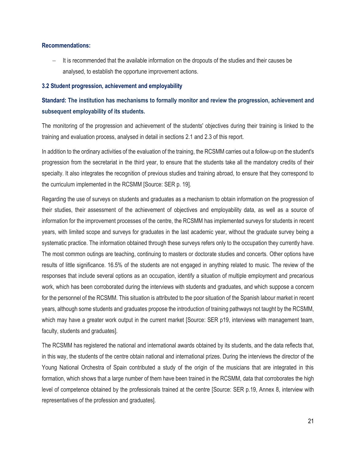#### **Recommendations:**

It is recommended that the available information on the dropouts of the studies and their causes be analysed, to establish the opportune improvement actions.

#### <span id="page-20-0"></span>**3.2 Student progression, achievement and employability**

## **Standard: The institution has mechanisms to formally monitor and review the progression, achievement and subsequent employability of its students.**

The monitoring of the progression and achievement of the students' objectives during their training is linked to the training and evaluation process, analysed in detail in sections 2.1 and 2.3 of this report.

In addition to the ordinary activities of the evaluation of the training, the RCSMM carries out a follow-up on the student's progression from the secretariat in the third year, to ensure that the students take all the mandatory credits of their specialty. It also integrates the recognition of previous studies and training abroad, to ensure that they correspond to the curriculum implemented in the RCSMM [Source: SER p. 19].

Regarding the use of surveys on students and graduates as a mechanism to obtain information on the progression of their studies, their assessment of the achievement of objectives and employability data, as well as a source of information for the improvement processes of the centre, the RCSMM has implemented surveys for students in recent years, with limited scope and surveys for graduates in the last academic year, without the graduate survey being a systematic practice. The information obtained through these surveys refers only to the occupation they currently have. The most common outings are teaching, continuing to masters or doctorate studies and concerts. Other options have results of little significance. 16.5% of the students are not engaged in anything related to music. The review of the responses that include several options as an occupation, identify a situation of multiple employment and precarious work, which has been corroborated during the interviews with students and graduates, and which suppose a concern for the personnel of the RCSMM. This situation is attributed to the poor situation of the Spanish labour market in recent years, although some students and graduates propose the introduction of training pathways not taught by the RCSMM, which may have a greater work output in the current market [Source: SER p19, interviews with management team, faculty, students and graduates].

The RCSMM has registered the national and international awards obtained by its students, and the data reflects that, in this way, the students of the centre obtain national and international prizes. During the interviews the director of the Young National Orchestra of Spain contributed a study of the origin of the musicians that are integrated in this formation, which shows that a large number of them have been trained in the RCSMM, data that corroborates the high level of competence obtained by the professionals trained at the centre [Source: SER p.19, Annex 8, interview with representatives of the profession and graduates].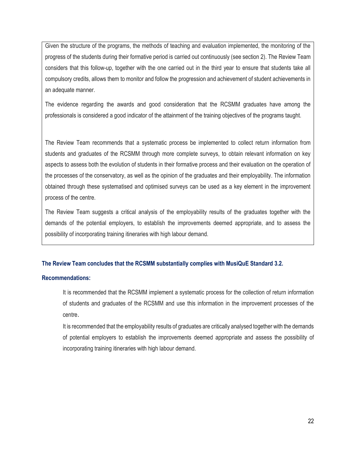Given the structure of the programs, the methods of teaching and evaluation implemented, the monitoring of the progress of the students during their formative period is carried out continuously (see section 2). The Review Team considers that this follow-up, together with the one carried out in the third year to ensure that students take all compulsory credits, allows them to monitor and follow the progression and achievement of student achievements in an adequate manner.

The evidence regarding the awards and good consideration that the RCSMM graduates have among the professionals is considered a good indicator of the attainment of the training objectives of the programs taught.

The Review Team recommends that a systematic process be implemented to collect return information from students and graduates of the RCSMM through more complete surveys, to obtain relevant information on key aspects to assess both the evolution of students in their formative process and their evaluation on the operation of the processes of the conservatory, as well as the opinion of the graduates and their employability. The information obtained through these systematised and optimised surveys can be used as a key element in the improvement process of the centre.

The Review Team suggests a critical analysis of the employability results of the graduates together with the demands of the potential employers, to establish the improvements deemed appropriate, and to assess the possibility of incorporating training itineraries with high labour demand.

#### **The Review Team concludes that the RCSMM substantially complies with MusiQuE Standard 3.2.**

#### **Recommendations:**

It is recommended that the RCSMM implement a systematic process for the collection of return information of students and graduates of the RCSMM and use this information in the improvement processes of the centre.

It is recommended that the employability results of graduates are critically analysed together with the demands of potential employers to establish the improvements deemed appropriate and assess the possibility of incorporating training itineraries with high labour demand.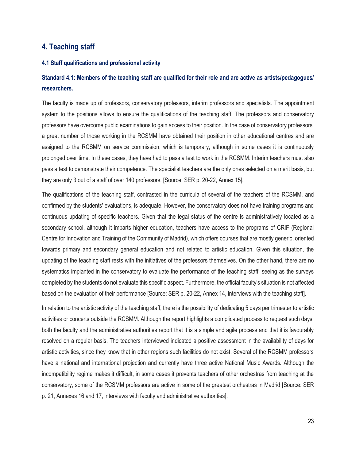## <span id="page-22-0"></span>**4. Teaching staff**

#### <span id="page-22-1"></span>**4.1 Staff qualifications and professional activity**

## **Standard 4.1: Members of the teaching staff are qualified for their role and are active as artists/pedagogues/ researchers.**

The faculty is made up of professors, conservatory professors, interim professors and specialists. The appointment system to the positions allows to ensure the qualifications of the teaching staff. The professors and conservatory professors have overcome public examinations to gain access to their position. In the case of conservatory professors, a great number of those working in the RCSMM have obtained their position in other educational centres and are assigned to the RCSMM on service commission, which is temporary, although in some cases it is continuously prolonged over time. In these cases, they have had to pass a test to work in the RCSMM. Interim teachers must also pass a test to demonstrate their competence. The specialist teachers are the only ones selected on a merit basis, but they are only 3 out of a staff of over 140 professors. [Source: SER p. 20-22, Annex 15].

The qualifications of the teaching staff, contrasted in the curricula of several of the teachers of the RCSMM, and confirmed by the students' evaluations, is adequate. However, the conservatory does not have training programs and continuous updating of specific teachers. Given that the legal status of the centre is administratively located as a secondary school, although it imparts higher education, teachers have access to the programs of CRIF (Regional Centre for Innovation and Training of the Community of Madrid), which offers courses that are mostly generic, oriented towards primary and secondary general education and not related to artistic education. Given this situation, the updating of the teaching staff rests with the initiatives of the professors themselves. On the other hand, there are no systematics implanted in the conservatory to evaluate the performance of the teaching staff, seeing as the surveys completed by the students do not evaluate this specific aspect. Furthermore, the official faculty's situation is not affected based on the evaluation of their performance [Source: SER p. 20-22, Annex 14, interviews with the teaching staff].

In relation to the artistic activity of the teaching staff, there is the possibility of dedicating 5 days per trimester to artistic activities or concerts outside the RCSMM. Although the report highlights a complicated process to request such days, both the faculty and the administrative authorities report that it is a simple and agile process and that it is favourably resolved on a regular basis. The teachers interviewed indicated a positive assessment in the availability of days for artistic activities, since they know that in other regions such facilities do not exist. Several of the RCSMM professors have a national and international projection and currently have three active National Music Awards. Although the incompatibility regime makes it difficult, in some cases it prevents teachers of other orchestras from teaching at the conservatory, some of the RCSMM professors are active in some of the greatest orchestras in Madrid [Source: SER p. 21, Annexes 16 and 17, interviews with faculty and administrative authorities].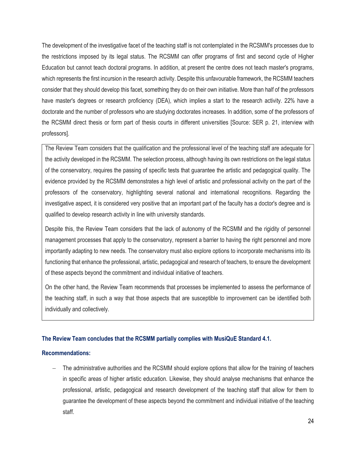The development of the investigative facet of the teaching staff is not contemplated in the RCSMM's processes due to the restrictions imposed by its legal status. The RCSMM can offer programs of first and second cycle of Higher Education but cannot teach doctoral programs. In addition, at present the centre does not teach master's programs, which represents the first incursion in the research activity. Despite this unfavourable framework, the RCSMM teachers consider that they should develop this facet, something they do on their own initiative. More than half of the professors have master's degrees or research proficiency (DEA), which implies a start to the research activity. 22% have a doctorate and the number of professors who are studying doctorates increases. In addition, some of the professors of the RCSMM direct thesis or form part of thesis courts in different universities [Source: SER p. 21, interview with professors].

The Review Team considers that the qualification and the professional level of the teaching staff are adequate for the activity developed in the RCSMM. The selection process, although having its own restrictions on the legal status of the conservatory, requires the passing of specific tests that guarantee the artistic and pedagogical quality. The evidence provided by the RCSMM demonstrates a high level of artistic and professional activity on the part of the professors of the conservatory, highlighting several national and international recognitions. Regarding the investigative aspect, it is considered very positive that an important part of the faculty has a doctor's degree and is qualified to develop research activity in line with university standards.

Despite this, the Review Team considers that the lack of autonomy of the RCSMM and the rigidity of personnel management processes that apply to the conservatory, represent a barrier to having the right personnel and more importantly adapting to new needs. The conservatory must also explore options to incorporate mechanisms into its functioning that enhance the professional, artistic, pedagogical and research of teachers, to ensure the development of these aspects beyond the commitment and individual initiative of teachers.

On the other hand, the Review Team recommends that processes be implemented to assess the performance of the teaching staff, in such a way that those aspects that are susceptible to improvement can be identified both individually and collectively.

#### **The Review Team concludes that the RCSMM partially complies with MusiQuE Standard 4.1.**

#### **Recommendations:**

The administrative authorities and the RCSMM should explore options that allow for the training of teachers in specific areas of higher artistic education. Likewise, they should analyse mechanisms that enhance the professional, artistic, pedagogical and research development of the teaching staff that allow for them to guarantee the development of these aspects beyond the commitment and individual initiative of the teaching staff.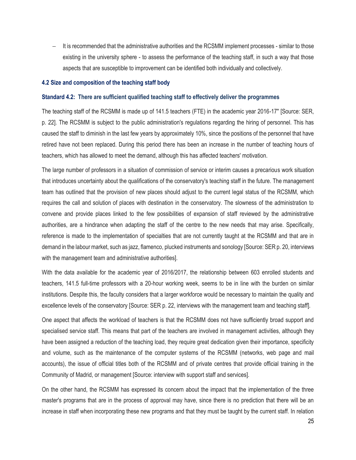− It is recommended that the administrative authorities and the RCSMM implement processes - similar to those existing in the university sphere - to assess the performance of the teaching staff, in such a way that those aspects that are susceptible to improvement can be identified both individually and collectively.

#### <span id="page-24-0"></span>**4.2 Size and composition of the teaching staff body**

#### **Standard 4.2: There are sufficient qualified teaching staff to effectively deliver the programmes**

The teaching staff of the RCSMM is made up of 141.5 teachers (FTE) in the academic year 2016-17" [Source: SER, p. 22]. The RCSMM is subject to the public administration's regulations regarding the hiring of personnel. This has caused the staff to diminish in the last few years by approximately 10%, since the positions of the personnel that have retired have not been replaced. During this period there has been an increase in the number of teaching hours of teachers, which has allowed to meet the demand, although this has affected teachers' motivation.

The large number of professors in a situation of commission of service or interim causes a precarious work situation that introduces uncertainty about the qualifications of the conservatory's teaching staff in the future. The management team has outlined that the provision of new places should adjust to the current legal status of the RCSMM, which requires the call and solution of places with destination in the conservatory. The slowness of the administration to convene and provide places linked to the few possibilities of expansion of staff reviewed by the administrative authorities, are a hindrance when adapting the staff of the centre to the new needs that may arise. Specifically, reference is made to the implementation of specialties that are not currently taught at the RCSMM and that are in demand in the labour market, such as jazz, flamenco, plucked instruments and sonology [Source: SER p. 20, interviews with the management team and administrative authorities].

With the data available for the academic year of 2016/2017, the relationship between 603 enrolled students and teachers, 141.5 full-time professors with a 20-hour working week, seems to be in line with the burden on similar institutions. Despite this, the faculty considers that a larger workforce would be necessary to maintain the quality and excellence levels of the conservatory [Source: SER p. 22, interviews with the management team and teaching staff].

One aspect that affects the workload of teachers is that the RCSMM does not have sufficiently broad support and specialised service staff. This means that part of the teachers are involved in management activities, although they have been assigned a reduction of the teaching load, they require great dedication given their importance, specificity and volume, such as the maintenance of the computer systems of the RCSMM (networks, web page and mail accounts), the issue of official titles both of the RCSMM and of private centres that provide official training in the Community of Madrid, or management [Source: interview with support staff and services].

On the other hand, the RCSMM has expressed its concern about the impact that the implementation of the three master's programs that are in the process of approval may have, since there is no prediction that there will be an increase in staff when incorporating these new programs and that they must be taught by the current staff. In relation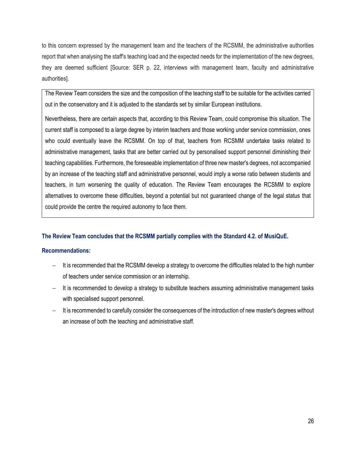to this concern expressed by the management team and the teachers of the RCSMM, the administrative authorities report that when analysing the staff's teaching load and the expected needs for the implementation of the new degrees, they are deemed sufficient [Source: SER p. 22, interviews with management team, faculty and administrative authorities].

The Review Team considers the size and the composition of the teaching staff to be suitable for the activities carried out in the conservatory and it is adjusted to the standards set by similar European institutions.

Nevertheless, there are certain aspects that, according to this Review Team, could compromise this situation. The current staff is composed to a large degree by interim teachers and those working under service commission, ones who could eventually leave the RCSMM. On top of that, teachers from RCSMM undertake tasks related to administrative management, tasks that are better carried out by personalised support personnel diminishing their teaching capabilities. Furthermore, the foreseeable implementation of three new master's degrees, not accompanied by an increase of the teaching staff and administrative personnel, would imply a worse ratio between students and teachers, in turn worsening the quality of education. The Review Team encourages the RCSMM to explore alternatives to overcome these difficulties, beyond a potential but not guaranteed change of the legal status that could provide the centre the required autonomy to face them.

#### **The Review Team concludes that the RCSMM partially complies with the Standard 4.2. of MusiQuE.**

#### **Recommendations:**

- − It is recommended that the RCSMM develop a strategy to overcome the difficulties related to the high number of teachers under service commission or an internship.
- It is recommended to develop a strategy to substitute teachers assuming administrative management tasks with specialised support personnel.
- − It is recommended to carefully consider the consequences of the introduction of new master's degrees without an increase of both the teaching and administrative staff.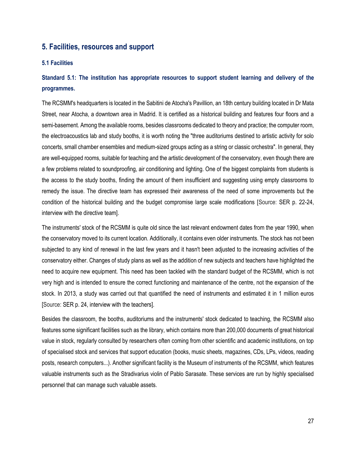#### <span id="page-26-0"></span>**5. Facilities, resources and support**

#### <span id="page-26-1"></span>**5.1 Facilities**

## **Standard 5.1: The institution has appropriate resources to support student learning and delivery of the programmes.**

The RCSMM's headquarters is located in the Sabitini de Atocha's Pavillion, an 18th century building located in Dr Mata Street, near Atocha, a downtown area in Madrid. It is certified as a historical building and features four floors and a semi-basement. Among the available rooms, besides classrooms dedicated to theory and practice; the computer room, the electroacoustics lab and study booths, it is worth noting the "three auditoriums destined to artistic activity for solo concerts, small chamber ensembles and medium-sized groups acting as a string or classic orchestra". In general, they are well-equipped rooms, suitable for teaching and the artistic development of the conservatory, even though there are a few problems related to soundproofing, air conditioning and lighting. One of the biggest complaints from students is the access to the study booths, finding the amount of them insufficient and suggesting using empty classrooms to remedy the issue. The directive team has expressed their awareness of the need of some improvements but the condition of the historical building and the budget compromise large scale modifications [Source: SER p. 22-24, interview with the directive team].

The instruments' stock of the RCSMM is quite old since the last relevant endowment dates from the year 1990, when the conservatory moved to its current location. Additionally, it contains even older instruments. The stock has not been subjected to any kind of renewal in the last few years and it hasn't been adjusted to the increasing activities of the conservatory either. Changes of study plans as well as the addition of new subjects and teachers have highlighted the need to acquire new equipment. This need has been tackled with the standard budget of the RCSMM, which is not very high and is intended to ensure the correct functioning and maintenance of the centre, not the expansion of the stock. In 2013, a study was carried out that quantified the need of instruments and estimated it in 1 million euros [Source: SER p. 24, interview with the teachers].

Besides the classroom, the booths, auditoriums and the instruments' stock dedicated to teaching, the RCSMM also features some significant facilities such as the library, which contains more than 200,000 documents of great historical value in stock, regularly consulted by researchers often coming from other scientific and academic institutions, on top of specialised stock and services that support education (books, music sheets, magazines, CDs, LPs, videos, reading posts, research computers...). Another significant facility is the Museum of instruments of the RCSMM, which features valuable instruments such as the Stradivarius violin of Pablo Sarasate. These services are run by highly specialised personnel that can manage such valuable assets.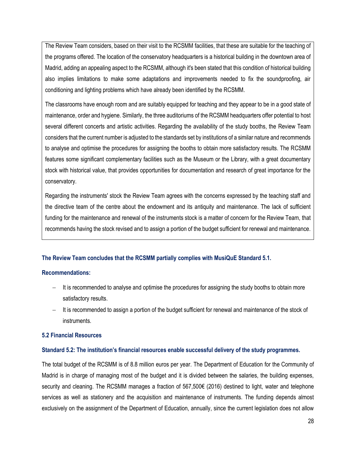The Review Team considers, based on their visit to the RCSMM facilities, that these are suitable for the teaching of the programs offered. The location of the conservatory headquarters is a historical building in the downtown area of Madrid, adding an appealing aspect to the RCSMM, although it's been stated that this condition of historical building also implies limitations to make some adaptations and improvements needed to fix the soundproofing, air conditioning and lighting problems which have already been identified by the RCSMM.

The classrooms have enough room and are suitably equipped for teaching and they appear to be in a good state of maintenance, order and hygiene. Similarly, the three auditoriums of the RCSMM headquarters offer potential to host several different concerts and artistic activities. Regarding the availability of the study booths, the Review Team considers that the current number is adjusted to the standards set by institutions of a similar nature and recommends to analyse and optimise the procedures for assigning the booths to obtain more satisfactory results. The RCSMM features some significant complementary facilities such as the Museum or the Library, with a great documentary stock with historical value, that provides opportunities for documentation and research of great importance for the conservatory.

Regarding the instruments' stock the Review Team agrees with the concerns expressed by the teaching staff and the directive team of the centre about the endowment and its antiquity and maintenance. The lack of sufficient funding for the maintenance and renewal of the instruments stock is a matter of concern for the Review Team, that recommends having the stock revised and to assign a portion of the budget sufficient for renewal and maintenance.

#### **The Review Team concludes that the RCSMM partially complies with MusiQuE Standard 5.1.**

#### **Recommendations:**

- It is recommended to analyse and optimise the procedures for assigning the study booths to obtain more satisfactory results.
- − It is recommended to assign a portion of the budget sufficient for renewal and maintenance of the stock of instruments.

#### <span id="page-27-0"></span>**5.2 Financial Resources**

#### **Standard 5.2: The institution's financial resources enable successful delivery of the study programmes.**

The total budget of the RCSMM is of 8.8 million euros per year. The Department of Education for the Community of Madrid is in charge of managing most of the budget and it is divided between the salaries, the building expenses, security and cleaning. The RCSMM manages a fraction of 567,500€ (2016) destined to light, water and telephone services as well as stationery and the acquisition and maintenance of instruments. The funding depends almost exclusively on the assignment of the Department of Education, annually, since the current legislation does not allow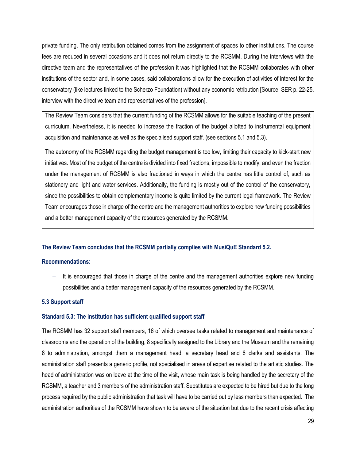private funding. The only retribution obtained comes from the assignment of spaces to other institutions. The course fees are reduced in several occasions and it does not return directly to the RCSMM. During the interviews with the directive team and the representatives of the profession it was highlighted that the RCSMM collaborates with other institutions of the sector and, in some cases, said collaborations allow for the execution of activities of interest for the conservatory (like lectures linked to the Scherzo Foundation) without any economic retribution [Source: SER p. 22-25, interview with the directive team and representatives of the profession].

The Review Team considers that the current funding of the RCSMM allows for the suitable teaching of the present curriculum. Nevertheless, it is needed to increase the fraction of the budget allotted to instrumental equipment acquisition and maintenance as well as the specialised support staff. (see sections 5.1 and 5.3).

The autonomy of the RCSMM regarding the budget management is too low, limiting their capacity to kick-start new initiatives. Most of the budget of the centre is divided into fixed fractions, impossible to modify, and even the fraction under the management of RCSMM is also fractioned in ways in which the centre has little control of, such as stationery and light and water services. Additionally, the funding is mostly out of the control of the conservatory, since the possibilities to obtain complementary income is quite limited by the current legal framework. The Review Team encourages those in charge of the centre and the management authorities to explore new funding possibilities and a better management capacity of the resources generated by the RCSMM.

#### **The Review Team concludes that the RCSMM partially complies with MusiQuE Standard 5.2.**

#### **Recommendations:**

It is encouraged that those in charge of the centre and the management authorities explore new funding possibilities and a better management capacity of the resources generated by the RCSMM.

#### <span id="page-28-0"></span>**5.3 Support staff**

#### **Standard 5.3: The institution has sufficient qualified support staff**

The RCSMM has 32 support staff members, 16 of which oversee tasks related to management and maintenance of classrooms and the operation of the building, 8 specifically assigned to the Library and the Museum and the remaining 8 to administration, amongst them a management head, a secretary head and 6 clerks and assistants. The administration staff presents a generic profile, not specialised in areas of expertise related to the artistic studies. The head of administration was on leave at the time of the visit, whose main task is being handled by the secretary of the RCSMM, a teacher and 3 members of the administration staff. Substitutes are expected to be hired but due to the long process required by the public administration that task will have to be carried out by less members than expected. The administration authorities of the RCSMM have shown to be aware of the situation but due to the recent crisis affecting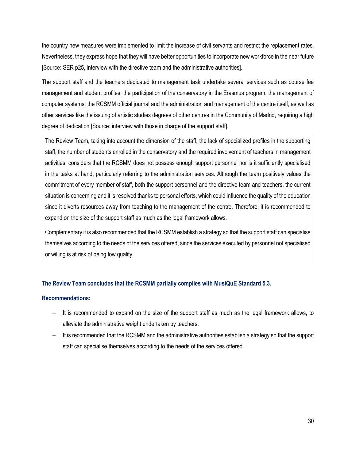the country new measures were implemented to limit the increase of civil servants and restrict the replacement rates. Nevertheless, they express hope that they will have better opportunities to incorporate new workforce in the near future [Source: SER p25, interview with the directive team and the administrative authorities].

The support staff and the teachers dedicated to management task undertake several services such as course fee management and student profiles, the participation of the conservatory in the Erasmus program, the management of computer systems, the RCSMM official journal and the administration and management of the centre itself, as well as other services like the issuing of artistic studies degrees of other centres in the Community of Madrid, requiring a high degree of dedication [Source: interview with those in charge of the support staff].

The Review Team, taking into account the dimension of the staff, the lack of specialized profiles in the supporting staff, the number of students enrolled in the conservatory and the required involvement of teachers in management activities, considers that the RCSMM does not possess enough support personnel nor is it sufficiently specialised in the tasks at hand, particularly referring to the administration services. Although the team positively values the commitment of every member of staff, both the support personnel and the directive team and teachers, the current situation is concerning and it is resolved thanks to personal efforts, which could influence the quality of the education since it diverts resources away from teaching to the management of the centre. Therefore, it is recommended to expand on the size of the support staff as much as the legal framework allows.

Complementary it is also recommended that the RCSMM establish a strategy so that the support staff can specialise themselves according to the needs of the services offered, since the services executed by personnel not specialised or willing is at risk of being low quality.

#### **The Review Team concludes that the RCSMM partially complies with MusiQuE Standard 5.3.**

#### **Recommendations:**

- It is recommended to expand on the size of the support staff as much as the legal framework allows, to alleviate the administrative weight undertaken by teachers.
- It is recommended that the RCSMM and the administrative authorities establish a strategy so that the support staff can specialise themselves according to the needs of the services offered.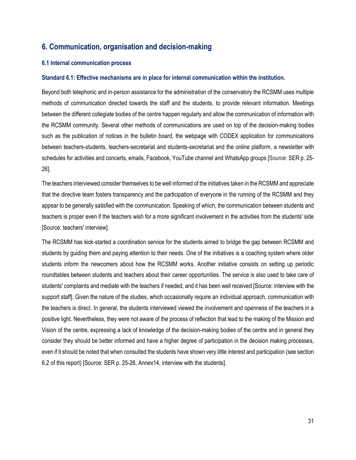## <span id="page-30-0"></span>**6. Communication, organisation and decision-making**

#### <span id="page-30-1"></span>**6.1 Internal communication process**

#### **Standard 6.1: Effective mechanisms are in place for internal communication within the institution.**

Beyond both telephonic and in-person assistance for the administration of the conservatory the RCSMM uses multiple methods of communication directed towards the staff and the students, to provide relevant information. Meetings between the different collegiate bodies of the centre happen regularly and allow the communication of information with the RCSMM community. Several other methods of communications are used on top of the decision-making bodies such as the publication of notices in the bulletin board, the webpage with CODEX application for communications between teachers-students, teachers-secretariat and students-secretariat and the online platform, a newsletter with schedules for activities and concerts, emails, Facebook, YouTube channel and WhatsApp groups [Source: SER p. 25- 26].

The teachers interviewed consider themselves to be well informed of the initiatives taken in the RCSMM and appreciate that the directive team fosters transparency and the participation of everyone in the running of the RCSMM and they appear to be generally satisfied with the communication. Speaking of which, the communication between students and teachers is proper even if the teachers wish for a more significant involvement in the activities from the students' side [Source: teachers' interview].

The RCSMM has kick-started a coordination service for the students aimed to bridge the gap between RCSMM and students by guiding them and paying attention to their needs. One of the initiatives is a coaching system where older students inform the newcomers about how the RCSMM works. Another initiative consists on setting up periodic roundtables between students and teachers about their career opportunities. The service is also used to take care of students' complaints and mediate with the teachers if needed, and it has been well received [Source: interview with the support staff]. Given the nature of the studies, which occasionally require an individual approach, communication with the teachers is direct. In general, the students interviewed viewed the involvement and openness of the teachers in a positive light. Nevertheless, they were not aware of the process of reflection that lead to the making of the Mission and Vision of the centre, expressing a lack of knowledge of the decision-making bodies of the centre and in general they consider they should be better informed and have a higher degree of participation in the decision making processes, even if it should be noted that when consulted the students have shown very little interest and participation (see section 6.2 of this report) [Source: SER p. 25-26, Annex14, interview with the students].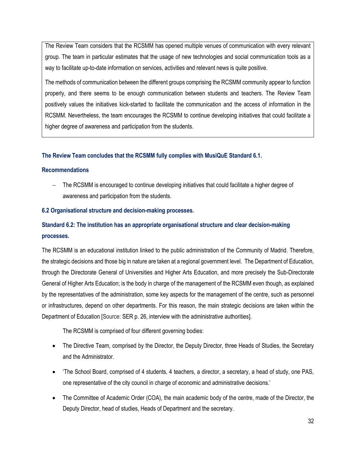The Review Team considers that the RCSMM has opened multiple venues of communication with every relevant group. The team in particular estimates that the usage of new technologies and social communication tools as a way to facilitate up-to-date information on services, activities and relevant news is quite positive.

The methods of communication between the different groups comprising the RCSMM community appear to function properly, and there seems to be enough communication between students and teachers. The Review Team positively values the initiatives kick-started to facilitate the communication and the access of information in the RCSMM. Nevertheless, the team encourages the RCSMM to continue developing initiatives that could facilitate a higher degree of awareness and participation from the students.

#### **The Review Team concludes that the RCSMM fully complies with MusiQuE Standard 6.1.**

#### **Recommendations**

− The RCSMM is encouraged to continue developing initiatives that could facilitate a higher degree of awareness and participation from the students.

#### <span id="page-31-0"></span>**6.2 Organisational structure and decision-making processes.**

## **Standard 6.2: The institution has an appropriate organisational structure and clear decision-making processes.**

The RCSMM is an educational institution linked to the public administration of the Community of Madrid. Therefore, the strategic decisions and those big in nature are taken at a regional government level. The Department of Education, through the Directorate General of Universities and Higher Arts Education, and more precisely the Sub-Directorate General of Higher Arts Education; is the body in charge of the management of the RCSMM even though, as explained by the representatives of the administration, some key aspects for the management of the centre, such as personnel or infrastructures, depend on other departments. For this reason, the main strategic decisions are taken within the Department of Education [Source: SER p. 26, interview with the administrative authorities].

The RCSMM is comprised of four different governing bodies:

- The Directive Team, comprised by the Director, the Deputy Director, three Heads of Studies, the Secretary and the Administrator.
- 'The School Board, comprised of 4 students, 4 teachers, a director, a secretary, a head of study, one PAS, one representative of the city council in charge of economic and administrative decisions.'
- The Committee of Academic Order (COA), the main academic body of the centre, made of the Director, the Deputy Director, head of studies, Heads of Department and the secretary.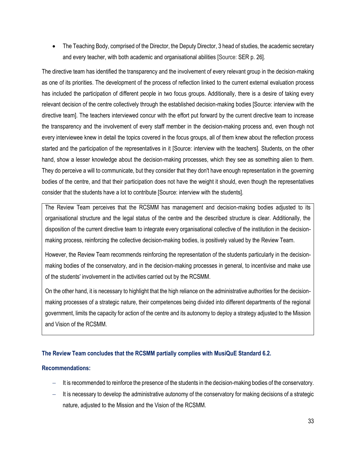• The Teaching Body, comprised of the Director, the Deputy Director, 3 head of studies, the academic secretary and every teacher, with both academic and organisational abilities [Source: SER p. 26].

The directive team has identified the transparency and the involvement of every relevant group in the decision-making as one of its priorities. The development of the process of reflection linked to the current external evaluation process has included the participation of different people in two focus groups. Additionally, there is a desire of taking every relevant decision of the centre collectively through the established decision-making bodies [Source: interview with the directive team]. The teachers interviewed concur with the effort put forward by the current directive team to increase the transparency and the involvement of every staff member in the decision-making process and, even though not every interviewee knew in detail the topics covered in the focus groups, all of them knew about the reflection process started and the participation of the representatives in it [Source: interview with the teachers]. Students, on the other hand, show a lesser knowledge about the decision-making processes, which they see as something alien to them. They do perceive a will to communicate, but they consider that they don't have enough representation in the governing bodies of the centre, and that their participation does not have the weight it should, even though the representatives consider that the students have a lot to contribute [Source: interview with the students].

The Review Team perceives that the RCSMM has management and decision-making bodies adjusted to its organisational structure and the legal status of the centre and the described structure is clear. Additionally, the disposition of the current directive team to integrate every organisational collective of the institution in the decisionmaking process, reinforcing the collective decision-making bodies, is positively valued by the Review Team.

However, the Review Team recommends reinforcing the representation of the students particularly in the decisionmaking bodies of the conservatory, and in the decision-making processes in general, to incentivise and make use of the students' involvement in the activities carried out by the RCSMM.

On the other hand, it is necessary to highlight that the high reliance on the administrative authorities for the decisionmaking processes of a strategic nature, their competences being divided into different departments of the regional government, limits the capacity for action of the centre and its autonomy to deploy a strategy adjusted to the Mission and Vision of the RCSMM.

#### **The Review Team concludes that the RCSMM partially complies with MusiQuE Standard 6.2.**

#### **Recommendations:**

- It is recommended to reinforce the presence of the students in the decision-making bodies of the conservatory.
- It is necessary to develop the administrative autonomy of the conservatory for making decisions of a strategic nature, adjusted to the Mission and the Vision of the RCSMM.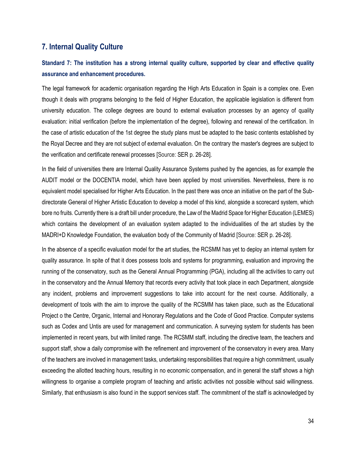## <span id="page-33-0"></span>**7. Internal Quality Culture**

## **Standard 7: The institution has a strong internal quality culture, supported by clear and effective quality assurance and enhancement procedures.**

The legal framework for academic organisation regarding the High Arts Education in Spain is a complex one. Even though it deals with programs belonging to the field of Higher Education, the applicable legislation is different from university education. The college degrees are bound to external evaluation processes by an agency of quality evaluation: initial verification (before the implementation of the degree), following and renewal of the certification. In the case of artistic education of the 1st degree the study plans must be adapted to the basic contents established by the Royal Decree and they are not subject of external evaluation. On the contrary the master's degrees are subject to the verification and certificate renewal processes [Source: SER p. 26-28].

In the field of universities there are Internal Quality Assurance Systems pushed by the agencies, as for example the AUDIT model or the DOCENTIA model, which have been applied by most universities. Nevertheless, there is no equivalent model specialised for Higher Arts Education. In the past there was once an initiative on the part of the Subdirectorate General of Higher Artistic Education to develop a model of this kind, alongside a scorecard system, which bore no fruits. Currently there is a draft bill under procedure, the Law of the Madrid Space for Higher Education (LEMES) which contains the development of an evaluation system adapted to the individualities of the art studies by the MADRI+D Knowledge Foundation, the evaluation body of the Community of Madrid [Source: SER p. 26-28].

In the absence of a specific evaluation model for the art studies, the RCSMM has yet to deploy an internal system for quality assurance. In spite of that it does possess tools and systems for programming, evaluation and improving the running of the conservatory, such as the General Annual Programming (PGA), including all the activities to carry out in the conservatory and the Annual Memory that records every activity that took place in each Department, alongside any incident, problems and improvement suggestions to take into account for the next course. Additionally, a development of tools with the aim to improve the quality of the RCSMM has taken place, such as the Educational Project o the Centre, Organic, Internal and Honorary Regulations and the Code of Good Practice. Computer systems such as Codex and Untis are used for management and communication. A surveying system for students has been implemented in recent years, but with limited range. The RCSMM staff, including the directive team, the teachers and support staff, show a daily compromise with the refinement and improvement of the conservatory in every area. Many of the teachers are involved in management tasks, undertaking responsibilities that require a high commitment, usually exceeding the allotted teaching hours, resulting in no economic compensation, and in general the staff shows a high willingness to organise a complete program of teaching and artistic activities not possible without said willingness. Similarly, that enthusiasm is also found in the support services staff. The commitment of the staff is acknowledged by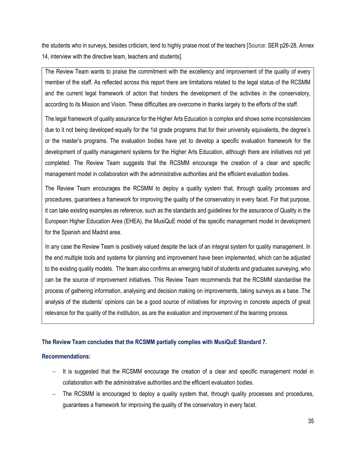the students who in surveys, besides criticism, tend to highly praise most of the teachers [Source: SER p26-28, Annex 14, interview with the directive team, teachers and students].

The Review Team wants to praise the commitment with the excellency and improvement of the quality of every member of the staff. As reflected across this report there are limitations related to the legal status of the RCSMM and the current legal framework of action that hinders the development of the activities in the conservatory, according to its Mission and Vision. These difficulties are overcome in thanks largely to the efforts of the staff.

The legal framework of quality assurance for the Higher Arts Education is complex and shows some inconsistencies due to it not being developed equally for the 1st grade programs that for their university equivalents, the degree's or the master's programs. The evaluation bodies have yet to develop a specific evaluation framework for the development of quality management systems for the Higher Arts Education, although there are initiatives not yet completed. The Review Team suggests that the RCSMM encourage the creation of a clear and specific management model in collaboration with the administrative authorities and the efficient evaluation bodies.

The Review Team encourages the RCSMM to deploy a quality system that, through quality processes and procedures, guarantees a framework for improving the quality of the conservatory in every facet. For that purpose, it can take existing examples as reference, such as the standards and guidelines for the assurance of Quality in the European Higher Education Area (EHEA), the MusiQuE model of the specific management model in development for the Spanish and Madrid area.

In any case the Review Team is positively valued despite the lack of an integral system for quality management. In the end multiple tools and systems for planning and improvement have been implemented, which can be adjusted to the existing quality models. The team also confirms an emerging habit of students and graduates surveying, who can be the source of improvement initiatives. This Review Team recommends that the RCSMM standardise the process of gathering information, analysing and decision making on improvements, taking surveys as a base. The analysis of the students' opinions can be a good source of initiatives for improving in concrete aspects of great relevance for the quality of the institution, as are the evaluation and improvement of the learning process.

#### **The Review Team concludes that the RCSMM partially complies with MusiQuE Standard 7.**

#### **Recommendations:**

- It is suggested that the RCSMM encourage the creation of a clear and specific management model in collaboration with the administrative authorities and the efficient evaluation bodies.
- The RCSMM is encouraged to deploy a quality system that, through quality processes and procedures, guarantees a framework for improving the quality of the conservatory in every facet.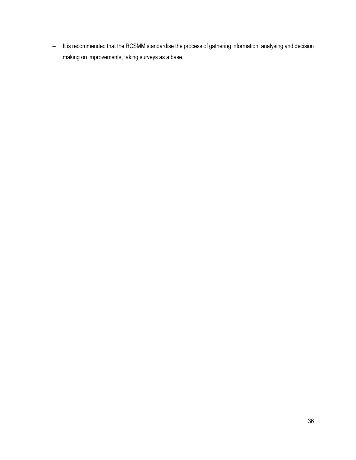− It is recommended that the RCSMM standardise the process of gathering information, analysing and decision making on improvements, taking surveys as a base.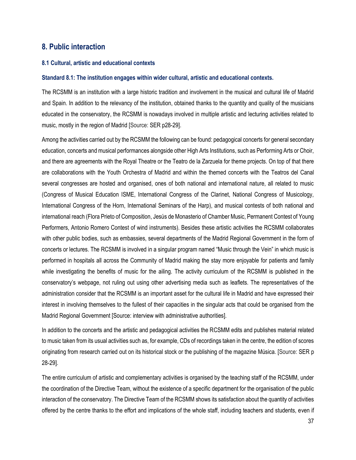### <span id="page-36-0"></span>**8. Public interaction**

#### <span id="page-36-1"></span>**8.1 Cultural, artistic and educational contexts**

#### **Standard 8.1: The institution engages within wider cultural, artistic and educational contexts.**

The RCSMM is an institution with a large historic tradition and involvement in the musical and cultural life of Madrid and Spain. In addition to the relevancy of the institution, obtained thanks to the quantity and quality of the musicians educated in the conservatory, the RCSMM is nowadays involved in multiple artistic and lecturing activities related to music, mostly in the region of Madrid [Source: SER p28-29].

Among the activities carried out by the RCSMM the following can be found: pedagogical concerts for general secondary education, concerts and musical performances alongside other High Arts Institutions, such as Performing Arts or Choir, and there are agreements with the Royal Theatre or the Teatro de la Zarzuela for theme projects. On top of that there are collaborations with the Youth Orchestra of Madrid and within the themed concerts with the Teatros del Canal several congresses are hosted and organised, ones of both national and international nature, all related to music (Congress of Musical Education ISME, International Congress of the Clarinet, National Congress of Musicology, International Congress of the Horn, International Seminars of the Harp), and musical contests of both national and international reach (Flora Prieto of Composition, Jesús de Monasterio of Chamber Music, Permanent Contest of Young Performers, Antonio Romero Contest of wind instruments). Besides these artistic activities the RCSMM collaborates with other public bodies, such as embassies, several departments of the Madrid Regional Government in the form of concerts or lectures. The RCSMM is involved in a singular program named "Music through the Vein" in which music is performed in hospitals all across the Community of Madrid making the stay more enjoyable for patients and family while investigating the benefits of music for the ailing. The activity curriculum of the RCSMM is published in the conservatory's webpage, not ruling out using other advertising media such as leaflets. The representatives of the administration consider that the RCSMM is an important asset for the cultural life in Madrid and have expressed their interest in involving themselves to the fullest of their capacities in the singular acts that could be organised from the Madrid Regional Government [Source: interview with administrative authorities].

In addition to the concerts and the artistic and pedagogical activities the RCSMM edits and publishes material related to music taken from its usual activities such as, for example, CDs of recordings taken in the centre, the edition of scores originating from research carried out on its historical stock or the publishing of the magazine Música. [Source: SER p 28-29].

The entire curriculum of artistic and complementary activities is organised by the teaching staff of the RCSMM, under the coordination of the Directive Team, without the existence of a specific department for the organisation of the public interaction of the conservatory. The Directive Team of the RCSMM shows its satisfaction about the quantity of activities offered by the centre thanks to the effort and implications of the whole staff, including teachers and students, even if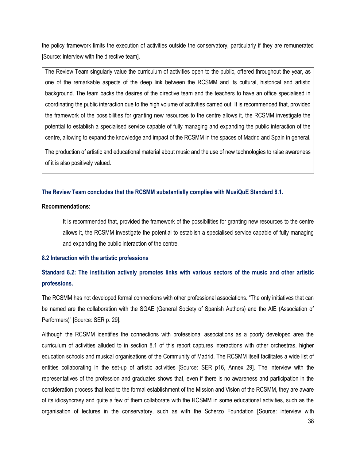the policy framework limits the execution of activities outside the conservatory, particularly if they are remunerated [Source: interview with the directive team].

The Review Team singularly value the curriculum of activities open to the public, offered throughout the year, as one of the remarkable aspects of the deep link between the RCSMM and its cultural, historical and artistic background. The team backs the desires of the directive team and the teachers to have an office specialised in coordinating the public interaction due to the high volume of activities carried out. It is recommended that, provided the framework of the possibilities for granting new resources to the centre allows it, the RCSMM investigate the potential to establish a specialised service capable of fully managing and expanding the public interaction of the centre, allowing to expand the knowledge and impact of the RCSMM in the spaces of Madrid and Spain in general.

The production of artistic and educational material about music and the use of new technologies to raise awareness of it is also positively valued.

#### **The Review Team concludes that the RCSMM substantially complies with MusiQuE Standard 8.1.**

#### **Recommendations**:

− It is recommended that, provided the framework of the possibilities for granting new resources to the centre allows it, the RCSMM investigate the potential to establish a specialised service capable of fully managing and expanding the public interaction of the centre.

#### <span id="page-37-0"></span>**8.2 Interaction with the artistic professions**

## **Standard 8.2: The institution actively promotes links with various sectors of the music and other artistic professions.**

The RCSMM has not developed formal connections with other professional associations. "The only initiatives that can be named are the collaboration with the SGAE (General Society of Spanish Authors) and the AIE (Association of Performers)" [Source: SER p. 29].

Although the RCSMM identifies the connections with professional associations as a poorly developed area the curriculum of activities alluded to in section 8.1 of this report captures interactions with other orchestras, higher education schools and musical organisations of the Community of Madrid. The RCSMM itself facilitates a wide list of entities collaborating in the set-up of artistic activities [Source: SER p16, Annex 29]. The interview with the representatives of the profession and graduates shows that, even if there is no awareness and participation in the consideration process that lead to the formal establishment of the Mission and Vision of the RCSMM, they are aware of its idiosyncrasy and quite a few of them collaborate with the RCSMM in some educational activities, such as the organisation of lectures in the conservatory, such as with the Scherzo Foundation [Source: interview with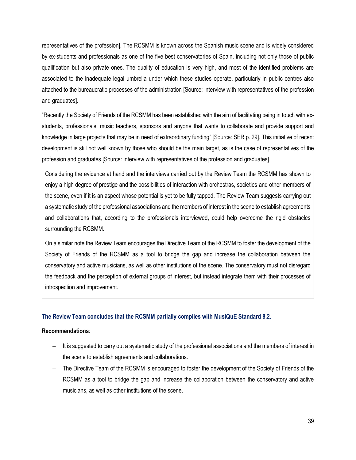representatives of the profession]. The RCSMM is known across the Spanish music scene and is widely considered by ex-students and professionals as one of the five best conservatories of Spain, including not only those of public qualification but also private ones. The quality of education is very high, and most of the identified problems are associated to the inadequate legal umbrella under which these studies operate, particularly in public centres also attached to the bureaucratic processes of the administration [Source: interview with representatives of the profession and graduates].

"Recently the Society of Friends of the RCSMM has been established with the aim of facilitating being in touch with exstudents, professionals, music teachers, sponsors and anyone that wants to collaborate and provide support and knowledge in large projects that may be in need of extraordinary funding" [Source: SER p. 29]. This initiative of recent development is still not well known by those who should be the main target, as is the case of representatives of the profession and graduates [Source: interview with representatives of the profession and graduates].

Considering the evidence at hand and the interviews carried out by the Review Team the RCSMM has shown to enjoy a high degree of prestige and the possibilities of interaction with orchestras, societies and other members of the scene, even if it is an aspect whose potential is yet to be fully tapped. The Review Team suggests carrying out a systematic study of the professional associations and the members of interest in the scene to establish agreements and collaborations that, according to the professionals interviewed, could help overcome the rigid obstacles surrounding the RCSMM.

On a similar note the Review Team encourages the Directive Team of the RCSMM to foster the development of the Society of Friends of the RCSMM as a tool to bridge the gap and increase the collaboration between the conservatory and active musicians, as well as other institutions of the scene. The conservatory must not disregard the feedback and the perception of external groups of interest, but instead integrate them with their processes of introspection and improvement.

#### **The Review Team concludes that the RCSMM partially complies with MusiQuE Standard 8.2.**

#### **Recommendations**:

- It is suggested to carry out a systematic study of the professional associations and the members of interest in the scene to establish agreements and collaborations.
- The Directive Team of the RCSMM is encouraged to foster the development of the Society of Friends of the RCSMM as a tool to bridge the gap and increase the collaboration between the conservatory and active musicians, as well as other institutions of the scene.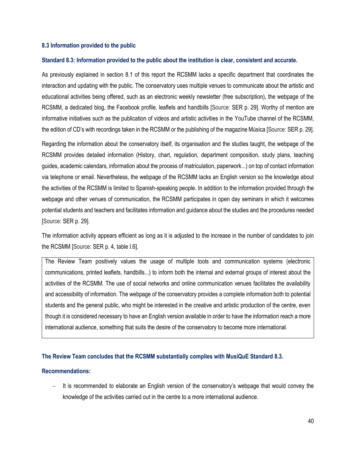#### <span id="page-39-0"></span>**8.3 Information provided to the public**

#### **Standard 8.3: Information provided to the public about the institution is clear, consistent and accurate.**

As previously explained in section 8.1 of this report the RCSMM lacks a specific department that coordinates the interaction and updating with the public. The conservatory uses multiple venues to communicate about the artistic and educational activities being offered, such as an electronic weekly newsletter (free subscription), the webpage of the RCSMM, a dedicated blog, the Facebook profile, leaflets and handbills [Source: SER p. 29]. Worthy of mention are informative initiatives such as the publication of videos and artistic activities in the YouTube channel of the RCSMM, the edition of CD's with recordings taken in the RCSMM or the publishing of the magazine Música [Source: SER p. 29].

Regarding the information about the conservatory itself, its organisation and the studies taught, the webpage of the RCSMM provides detailed information (History, chart, regulation, department composition, study plans, teaching guides, academic calendars, information about the process of matriculation, paperwork...) on top of contact information via telephone or email. Nevertheless, the webpage of the RCSMM lacks an English version so the knowledge about the activities of the RCSMM is limited to Spanish-speaking people. In addition to the information provided through the webpage and other venues of communication, the RCSMM participates in open day seminars in which it welcomes potential students and teachers and facilitates information and guidance about the studies and the procedures needed [Source: SER p. 29].

The information activity appears efficient as long as it is adjusted to the increase in the number of candidates to join the RCSMM [Source: SER p. 4, table I.6].

The Review Team positively values the usage of multiple tools and communication systems (electronic communications, printed leaflets, handbills...) to inform both the internal and external groups of interest about the activities of the RCSMM. The use of social networks and online communication venues facilitates the availability and accessibility of information. The webpage of the conservatory provides a complete information both to potential students and the general public, who might be interested in the creative and artistic production of the centre, even though it is considered necessary to have an English version available in order to have the information reach a more international audience, something that suits the desire of the conservatory to become more international.

#### **The Review Team concludes that the RCSMM substantially complies with MusiQuE Standard 8.3.**

#### **Recommendations:**

It is recommended to elaborate an English version of the conservatory's webpage that would convey the knowledge of the activities carried out in the centre to a more international audience.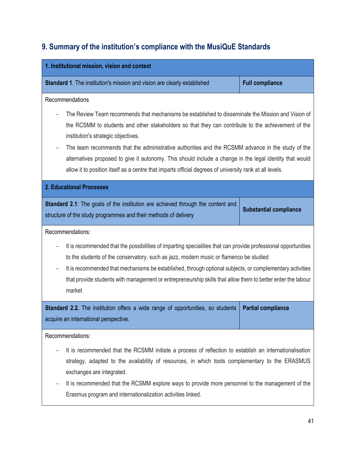# <span id="page-40-0"></span>**9. Summary of the institution's compliance with the MusiQuE Standards**

| 1. Institutional mission, vision and context                                                                                                                                                                                                                                                                                                                                                                                                  |                               |  |  |
|-----------------------------------------------------------------------------------------------------------------------------------------------------------------------------------------------------------------------------------------------------------------------------------------------------------------------------------------------------------------------------------------------------------------------------------------------|-------------------------------|--|--|
|                                                                                                                                                                                                                                                                                                                                                                                                                                               |                               |  |  |
| <b>Standard 1.</b> The institution's mission and vision are clearly established                                                                                                                                                                                                                                                                                                                                                               | <b>Full compliance</b>        |  |  |
| Recommendations                                                                                                                                                                                                                                                                                                                                                                                                                               |                               |  |  |
| The Review Team recommends that mechanisms be established to disseminate the Mission and Vision of<br>the RCSMM to students and other stakeholders so that they can contribute to the achievement of the<br>institution's strategic objectives.                                                                                                                                                                                               |                               |  |  |
| The team recommends that the administrative authorities and the RCSMM advance in the study of the<br>alternatives proposed to give it autonomy. This should include a change in the legal identity that would<br>allow it to position itself as a centre that imparts official degrees of university rank at all levels.                                                                                                                      |                               |  |  |
| <b>2. Educational Processes</b>                                                                                                                                                                                                                                                                                                                                                                                                               |                               |  |  |
| <b>Standard 2.1:</b> The goals of the institution are achieved through the content and<br>structure of the study programmes and their methods of delivery                                                                                                                                                                                                                                                                                     | <b>Substantial compliance</b> |  |  |
| Recommendations:                                                                                                                                                                                                                                                                                                                                                                                                                              |                               |  |  |
| It is recommended that the possibilities of imparting specialities that can provide professional opportunities<br>to the students of the conservatory, such as jazz, modern music or flamenco be studied<br>It is recommended that mechanisms be established, through optional subjects, or complementary activities<br>that provide students with management or entrepreneurship skills that allow them to better enter the labour<br>market |                               |  |  |
| <b>Standard 2.2.</b> The institution offers a wide range of opportunities, so students<br>acquire an international perspective.                                                                                                                                                                                                                                                                                                               | <b>Partial compliance</b>     |  |  |
| Recommendations:                                                                                                                                                                                                                                                                                                                                                                                                                              |                               |  |  |
| It is recommended that the RCSMM initiate a process of reflection to establish an internationalisation<br>strategy, adapted to the availability of resources, in which tools complementary to the ERASMUS<br>exchanges are integrated.<br>It is recommended that the RCSMM explore ways to provide more personnel to the management of the                                                                                                    |                               |  |  |
| Erasmus program and internationalization activities linked.                                                                                                                                                                                                                                                                                                                                                                                   |                               |  |  |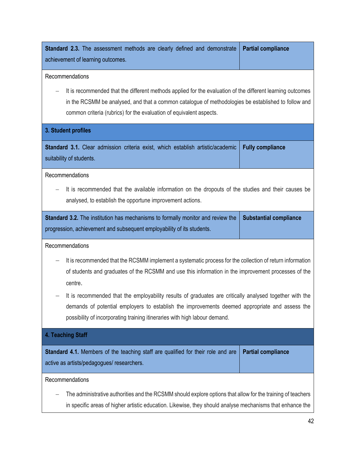| <b>Standard 2.3.</b> The assessment methods are clearly defined and demonstrate<br>achievement of learning outcomes.                                                                                                                                                                     | <b>Partial compliance</b> |  |  |
|------------------------------------------------------------------------------------------------------------------------------------------------------------------------------------------------------------------------------------------------------------------------------------------|---------------------------|--|--|
| Recommendations                                                                                                                                                                                                                                                                          |                           |  |  |
| It is recommended that the different methods applied for the evaluation of the different learning outcomes<br>in the RCSMM be analysed, and that a common catalogue of methodologies be established to follow and<br>common criteria (rubrics) for the evaluation of equivalent aspects. |                           |  |  |
| 3. Student profiles                                                                                                                                                                                                                                                                      |                           |  |  |
| Standard 3.1. Clear admission criteria exist, which establish artistic/academic<br>suitability of students.                                                                                                                                                                              | <b>Fully compliance</b>   |  |  |
| Recommendations                                                                                                                                                                                                                                                                          |                           |  |  |
| It is recommended that the available information on the dropouts of the studies and their causes be<br>analysed, to establish the opportune improvement actions.                                                                                                                         |                           |  |  |
| <b>Standard 3.2.</b> The institution has mechanisms to formally monitor and review the<br><b>Substantial compliance</b><br>progression, achievement and subsequent employability of its students.                                                                                        |                           |  |  |
| Recommendations                                                                                                                                                                                                                                                                          |                           |  |  |
| It is recommended that the RCSMM implement a systematic process for the collection of return information<br>of students and graduates of the RCSMM and use this information in the improvement processes of the<br>centre.                                                               |                           |  |  |
| It is recommended that the employability results of graduates are critically analysed together with the<br>demands of potential employers to establish the improvements deemed appropriate and assess the<br>possibility of incorporating training itineraries with high labour demand.  |                           |  |  |
| 4. Teaching Staff                                                                                                                                                                                                                                                                        |                           |  |  |
| Standard 4.1. Members of the teaching staff are qualified for their role and are<br>active as artists/pedagogues/ researchers.                                                                                                                                                           | <b>Partial compliance</b> |  |  |
| Recommendations                                                                                                                                                                                                                                                                          |                           |  |  |
| The administrative authorities and the RCSMM should explore options that allow for the training of teachers                                                                                                                                                                              |                           |  |  |
| in specific areas of higher artistic education. Likewise, they should analyse mechanisms that enhance the                                                                                                                                                                                |                           |  |  |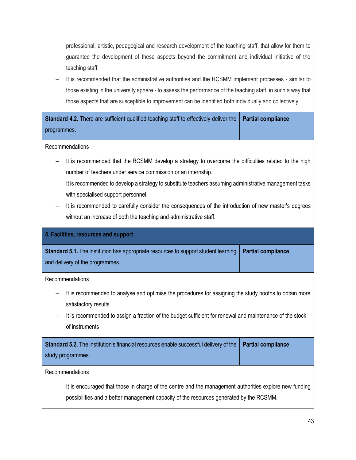professional, artistic, pedagogical and research development of the teaching staff, that allow for them to guarantee the development of these aspects beyond the commitment and individual initiative of the teaching staff.

It is recommended that the administrative authorities and the RCSMM implement processes - similar to those existing in the university sphere - to assess the performance of the teaching staff, in such a way that those aspects that are susceptible to improvement can be identified both individually and collectively.

**Standard 4.2.** There are sufficient qualified teaching staff to effectively deliver the programmes. **Partial compliance**

#### Recommendations

- − It is recommended that the RCSMM develop a strategy to overcome the difficulties related to the high number of teachers under service commission or an internship.
- It is recommended to develop a strategy to substitute teachers assuming administrative management tasks with specialised support personnel.
- − It is recommended to carefully consider the consequences of the introduction of new master's degrees without an increase of both the teaching and administrative staff.

| 5. Facilities, resources and support                                                                     |                           |  |
|----------------------------------------------------------------------------------------------------------|---------------------------|--|
| Standard 5.1. The institution has appropriate resources to support student learning                      | <b>Partial compliance</b> |  |
| and delivery of the programmes.                                                                          |                           |  |
| Recommendations                                                                                          |                           |  |
| It is recommended to analyse and optimise the procedures for assigning the study booths to obtain more   |                           |  |
| satisfactory results.                                                                                    |                           |  |
| It is recommended to assign a fraction of the budget sufficient for renewal and maintenance of the stock |                           |  |
| of instruments                                                                                           |                           |  |
| Standard 5.2. The institution's financial resources enable successful delivery of the                    | <b>Partial compliance</b> |  |
| study programmes.                                                                                        |                           |  |
| Recommendations                                                                                          |                           |  |
| It is encouraged that those in charge of the centre and the management authorities explore new funding   |                           |  |
| possibilities and a better management capacity of the resources generated by the RCSMM.                  |                           |  |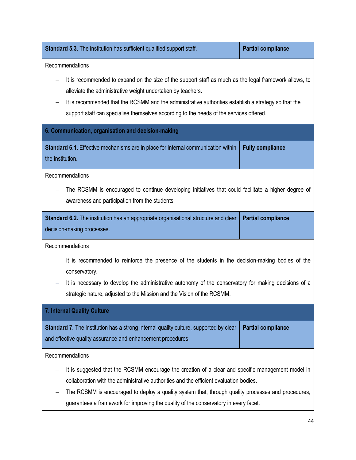**Standard 5.3.** The institution has sufficient qualified support staff. **Partial compliance** Recommendations It is recommended to expand on the size of the support staff as much as the legal framework allows, to alleviate the administrative weight undertaken by teachers. It is recommended that the RCSMM and the administrative authorities establish a strategy so that the support staff can specialise themselves according to the needs of the services offered.

#### **6. Communication, organisation and decision-making**

**Standard 6.1.** Effective mechanisms are in place for internal communication within the institution. **Fully compliance**

Recommendations

The RCSMM is encouraged to continue developing initiatives that could facilitate a higher degree of awareness and participation from the students.

| Standard 6.2. The institution has an appropriate organisational structure and clear   Partial compliance |  |
|----------------------------------------------------------------------------------------------------------|--|
| decision-making processes.                                                                               |  |

Recommendations

- It is recommended to reinforce the presence of the students in the decision-making bodies of the conservatory.
- It is necessary to develop the administrative autonomy of the conservatory for making decisions of a strategic nature, adjusted to the Mission and the Vision of the RCSMM.

**7. Internal Quality Culture**

**Standard 7.** The institution has a strong internal quality culture, supported by clear and effective quality assurance and enhancement procedures. **Partial compliance**

Recommendations

- It is suggested that the RCSMM encourage the creation of a clear and specific management model in collaboration with the administrative authorities and the efficient evaluation bodies.
- The RCSMM is encouraged to deploy a quality system that, through quality processes and procedures, guarantees a framework for improving the quality of the conservatory in every facet.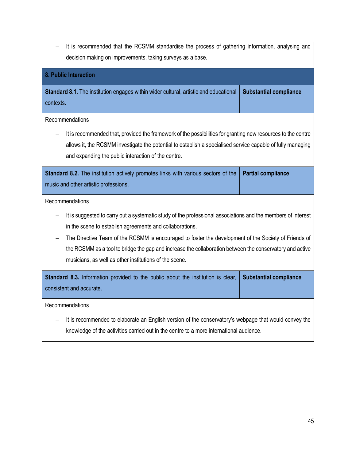It is recommended that the RCSMM standardise the process of gathering information, analysing and decision making on improvements, taking surveys as a base.

# **8. Public Interaction Standard 8.1.** The institution engages within wider cultural, artistic and educational contexts. **Substantial compliance** Recommendations It is recommended that, provided the framework of the possibilities for granting new resources to the centre allows it, the RCSMM investigate the potential to establish a specialised service capable of fully managing and expanding the public interaction of the centre. **Standard 8.2.** The institution actively promotes links with various sectors of the music and other artistic professions. **Partial compliance** Recommendations It is suggested to carry out a systematic study of the professional associations and the members of interest in the scene to establish agreements and collaborations. The Directive Team of the RCSMM is encouraged to foster the development of the Society of Friends of the RCSMM as a tool to bridge the gap and increase the collaboration between the conservatory and active musicians, as well as other institutions of the scene. **Standard 8.3.** Information provided to the public about the institution is clear, consistent and accurate. **Substantial compliance** Recommendations

− It is recommended to elaborate an English version of the conservatory's webpage that would convey the knowledge of the activities carried out in the centre to a more international audience.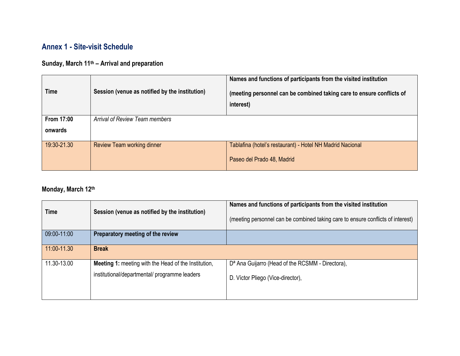# **Annex 1 - Site-visit Schedule**

# **Sunday, March 11th – Arrival and preparation**

| <b>Time</b>       | Session (venue as notified by the institution) | Names and functions of participants from the visited institution<br>(meeting personnel can be combined taking care to ensure conflicts of<br>interest) |
|-------------------|------------------------------------------------|--------------------------------------------------------------------------------------------------------------------------------------------------------|
| <b>From 17:00</b> | Arrival of Review Team members                 |                                                                                                                                                        |
| onwards           |                                                |                                                                                                                                                        |
| 19:30-21.30       | <b>Review Team working dinner</b>              | Tablafina (hotel's restaurant) - Hotel NH Madrid Nacional                                                                                              |
|                   |                                                | Paseo del Prado 48, Madrid                                                                                                                             |

# <span id="page-45-0"></span>**Monday, March 12th**

| <b>Time</b> | Session (venue as notified by the institution)              | Names and functions of participants from the visited institution<br>(meeting personnel can be combined taking care to ensure conflicts of interest) |
|-------------|-------------------------------------------------------------|-----------------------------------------------------------------------------------------------------------------------------------------------------|
| 09:00-11:00 | Preparatory meeting of the review                           |                                                                                                                                                     |
| 11:00-11.30 | <b>Break</b>                                                |                                                                                                                                                     |
| 11.30-13.00 | <b>Meeting 1: meeting with the Head of the Institution,</b> | D <sup>a</sup> Ana Guijarro (Head of the RCSMM - Directora),                                                                                        |
|             | institutional/departmental/ programme leaders               | D. Víctor Pliego (Vice-director),                                                                                                                   |
|             |                                                             |                                                                                                                                                     |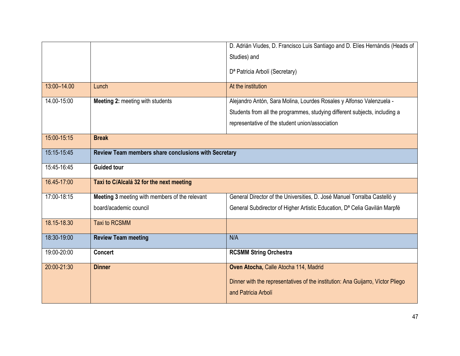|             |                                                      | D. Adrián Viudes, D. Francisco Luis Santiago and D. Elíes Hernándis (Heads of                          |
|-------------|------------------------------------------------------|--------------------------------------------------------------------------------------------------------|
|             |                                                      | Studies) and                                                                                           |
|             |                                                      | D <sup>a</sup> Patricia Arbolí (Secretary)                                                             |
| 13:00-14.00 | Lunch                                                | At the institution                                                                                     |
| 14.00-15:00 | Meeting 2: meeting with students                     | Alejandro Antón, Sara Molina, Lourdes Rosales y Alfonso Valenzuela -                                   |
|             |                                                      | Students from all the programmes, studying different subjects, including a                             |
|             |                                                      | representative of the student union/association                                                        |
| 15:00-15:15 | <b>Break</b>                                         |                                                                                                        |
| 15:15-15:45 | Review Team members share conclusions with Secretary |                                                                                                        |
| 15:45-16:45 | <b>Guided tour</b>                                   |                                                                                                        |
| 16.45-17:00 | Taxi to C/Alcalá 32 for the next meeting             |                                                                                                        |
| 17:00-18:15 | Meeting 3 meeting with members of the relevant       | General Director of the Universities, D. José Manuel Torralba Castelló y                               |
|             | board/academic council                               | General Subdirector of Higher Artistic Education, D <sup>a</sup> Celia Gavilán Marpfé                  |
| 18.15-18.30 | <b>Taxi to RCSMM</b>                                 |                                                                                                        |
| 18:30-19:00 | <b>Review Team meeting</b>                           | N/A                                                                                                    |
| 19:00-20:00 | <b>Concert</b>                                       | <b>RCSMM String Orchestra</b>                                                                          |
| 20:00-21:30 | <b>Dinner</b>                                        | Oven Atocha, Calle Atocha 114, Madrid                                                                  |
|             |                                                      | Dinner with the representatives of the institution: Ana Guijarro, Víctor Pliego<br>and Patricia Arbolí |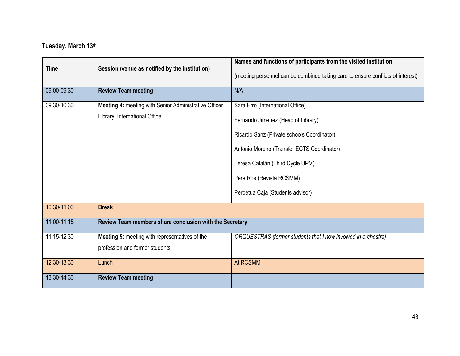# **Tuesday, March 13th**

|             |                                                               | Names and functions of participants from the visited institution                |
|-------------|---------------------------------------------------------------|---------------------------------------------------------------------------------|
|             | Session (venue as notified by the institution)<br><b>Time</b> | (meeting personnel can be combined taking care to ensure conflicts of interest) |
| 09:00-09:30 | <b>Review Team meeting</b>                                    | N/A                                                                             |
| 09:30-10:30 | Meeting 4: meeting with Senior Administrative Officer,        | Sara Erro (International Office)                                                |
|             | Library, International Office                                 | Fernando Jiménez (Head of Library)                                              |
|             |                                                               | Ricardo Sanz (Private schools Coordinator)                                      |
|             |                                                               | Antonio Moreno (Transfer ECTS Coordinator)                                      |
|             |                                                               | Teresa Catalán (Third Cycle UPM)                                                |
|             |                                                               | Pere Ros (Revista RCSMM)                                                        |
|             |                                                               | Perpetua Caja (Students advisor)                                                |
| 10:30-11:00 | <b>Break</b>                                                  |                                                                                 |
| 11:00-11:15 | Review Team members share conclusion with the Secretary       |                                                                                 |
| 11:15-12:30 | Meeting 5: meeting with representatives of the                | ORQUESTRAS (former students that I now involved in orchestra)                   |
|             | profession and former students                                |                                                                                 |
| 12:30-13:30 | Lunch                                                         | At RCSMM                                                                        |
| 13:30-14:30 | <b>Review Team meeting</b>                                    |                                                                                 |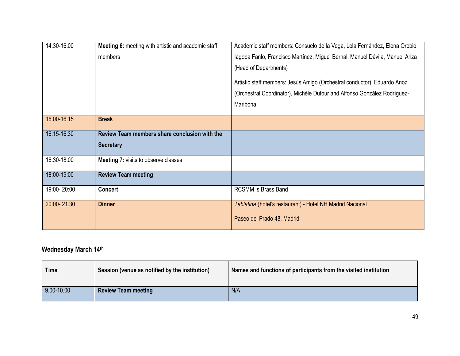| 14.30-16.00 | Meeting 6: meeting with artistic and academic staff | Academic staff members: Consuelo de la Vega, Lola Fernández, Elena Orobio,   |
|-------------|-----------------------------------------------------|------------------------------------------------------------------------------|
|             | members                                             | Iagoba Fanlo, Francisco Martínez, Miguel Bernal, Manuel Dávila, Manuel Ariza |
|             |                                                     | (Head of Departments)                                                        |
|             |                                                     | Artistic staff members: Jesús Amigo (Orchestral conductor), Eduardo Anoz     |
|             |                                                     | (Orchestral Coordinator), Michèle Dufour and Alfonso González Rodríguez-     |
|             |                                                     | Maribona                                                                     |
| 16.00-16.15 | <b>Break</b>                                        |                                                                              |
|             |                                                     |                                                                              |
| 16:15-16:30 | Review Team members share conclusion with the       |                                                                              |
|             | <b>Secretary</b>                                    |                                                                              |
| 16:30-18:00 | <b>Meeting 7: visits to observe classes</b>         |                                                                              |
| 18:00-19:00 | <b>Review Team meeting</b>                          |                                                                              |
| 19:00-20:00 | <b>Concert</b>                                      | <b>RCSMM</b> 's Brass Band                                                   |
| 20:00-21.30 | <b>Dinner</b>                                       | Tablafina (hotel's restaurant) - Hotel NH Madrid Nacional                    |
|             |                                                     | Paseo del Prado 48, Madrid                                                   |

## **Wednesday March 14th**

| <b>Time</b>    | Session (venue as notified by the institution) | Names and functions of participants from the visited institution |
|----------------|------------------------------------------------|------------------------------------------------------------------|
| $9.00 - 10.00$ | <b>Review Team meeting</b>                     | N/A                                                              |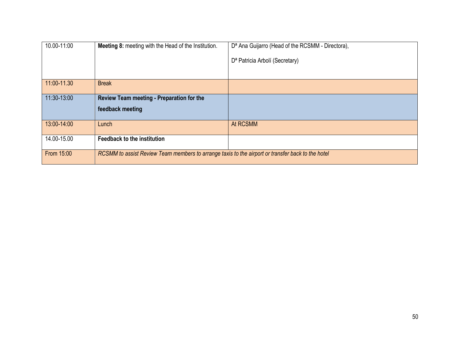| 10.00-11:00 | <b>Meeting 8: meeting with the Head of the Institution.</b>                                       | D <sup>a</sup> Ana Guijarro (Head of the RCSMM - Directora), |
|-------------|---------------------------------------------------------------------------------------------------|--------------------------------------------------------------|
|             |                                                                                                   | D <sup>a</sup> Patricia Arbolí (Secretary)                   |
|             |                                                                                                   |                                                              |
| 11:00-11.30 | <b>Break</b>                                                                                      |                                                              |
| 11:30-13:00 | Review Team meeting - Preparation for the                                                         |                                                              |
|             | feedback meeting                                                                                  |                                                              |
| 13:00-14:00 | Lunch                                                                                             | At RCSMM                                                     |
| 14.00-15.00 | <b>Feedback to the institution</b>                                                                |                                                              |
| From 15:00  | RCSMM to assist Review Team members to arrange taxis to the airport or transfer back to the hotel |                                                              |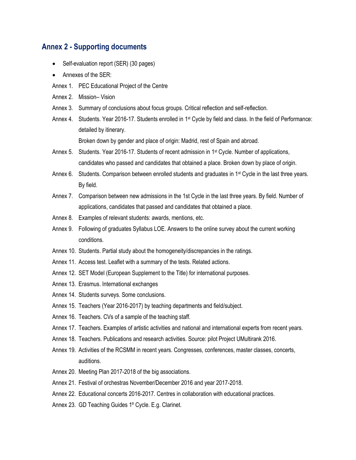## <span id="page-50-0"></span>**Annex 2 - Supporting documents**

- Self-evaluation report (SER) (30 pages)
- Annexes of the SER:
- Annex 1. PEC Educational Project of the Centre
- Annex 2. Mission– Vision
- Annex 3. Summary of conclusions about focus groups. Critical reflection and self-reflection.
- Annex 4. Students. Year 2016-17. Students enrolled in 1st Cycle by field and class. In the field of Performance: detailed by itinerary.

Broken down by gender and place of origin: Madrid, rest of Spain and abroad.

- Annex 5. Students. Year 2016-17. Students of recent admission in 1st Cycle. Number of applications, candidates who passed and candidates that obtained a place. Broken down by place of origin.
- Annex 6. Students. Comparison between enrolled students and graduates in 1<sup>st</sup> Cycle in the last three years. By field.
- Annex 7. Comparison between new admissions in the 1st Cycle in the last three years. By field. Number of applications, candidates that passed and candidates that obtained a place.
- Annex 8. Examples of relevant students: awards, mentions, etc.
- Annex 9. Following of graduates Syllabus LOE. Answers to the online survey about the current working conditions.
- Annex 10. Students. Partial study about the homogeneity/discrepancies in the ratings.
- Annex 11. Access test. Leaflet with a summary of the tests. Related actions.
- Annex 12. SET Model (European Supplement to the Title) for international purposes.
- Annex 13. Erasmus. International exchanges
- Annex 14. Students surveys. Some conclusions.
- Annex 15. Teachers (Year 2016-2017) by teaching departments and field/subject.
- Annex 16. Teachers. CVs of a sample of the teaching staff.
- Annex 17. Teachers. Examples of artistic activities and national and international experts from recent years.
- Annex 18. Teachers. Publications and research activities. Source: pilot Project UMultirank 2016.
- Annex 19. Activities of the RCSMM in recent years. Congresses, conferences, master classes, concerts, auditions.
- Annex 20. Meeting Plan 2017-2018 of the big associations.
- Annex 21. Festival of orchestras November/December 2016 and year 2017-2018.
- Annex 22. Educational concerts 2016-2017. Centres in collaboration with educational practices.
- Annex 23. GD Teaching Guides 1º Cycle. E.g. Clarinet.